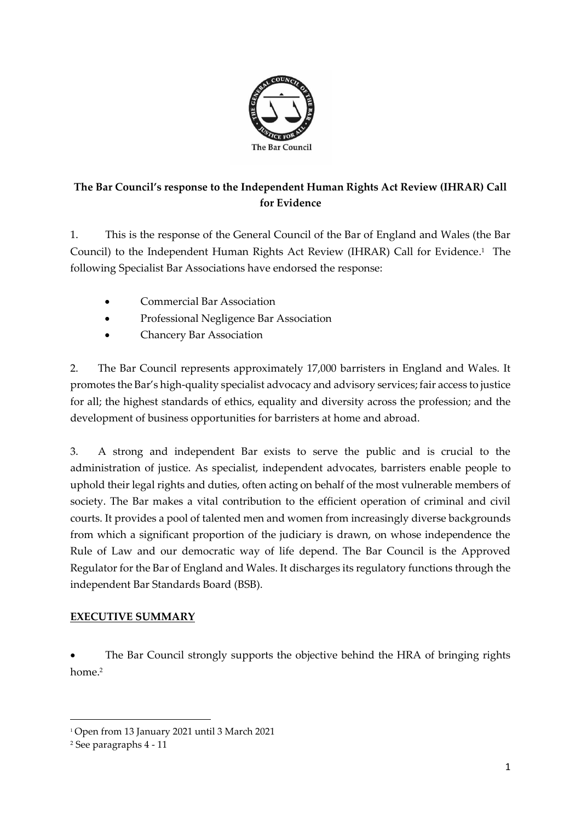

# **The Bar Council's response to the Independent Human Rights Act Review (IHRAR) Call for Evidence**

1. This is the response of the General Council of the Bar of England and Wales (the Bar Council) to the Independent Human Rights Act Review (IHRAR) Call for Evidence.<sup>1</sup> The following Specialist Bar Associations have endorsed the response:

- Commercial Bar Association
- Professional Negligence Bar Association
- Chancery Bar Association

2. The Bar Council represents approximately 17,000 barristers in England and Wales. It promotes the Bar's high-quality specialist advocacy and advisory services; fair access to justice for all; the highest standards of ethics, equality and diversity across the profession; and the development of business opportunities for barristers at home and abroad.

3. A strong and independent Bar exists to serve the public and is crucial to the administration of justice. As specialist, independent advocates, barristers enable people to uphold their legal rights and duties, often acting on behalf of the most vulnerable members of society. The Bar makes a vital contribution to the efficient operation of criminal and civil courts. It provides a pool of talented men and women from increasingly diverse backgrounds from which a significant proportion of the judiciary is drawn, on whose independence the Rule of Law and our democratic way of life depend. The Bar Council is the Approved Regulator for the Bar of England and Wales. It discharges its regulatory functions through the independent Bar Standards Board (BSB).

## **EXECUTIVE SUMMARY**

The Bar Council strongly supports the objective behind the HRA of bringing rights home. 2

<sup>1</sup> Open from 13 January 2021 until 3 March 2021

<sup>2</sup> See paragraphs 4 - 11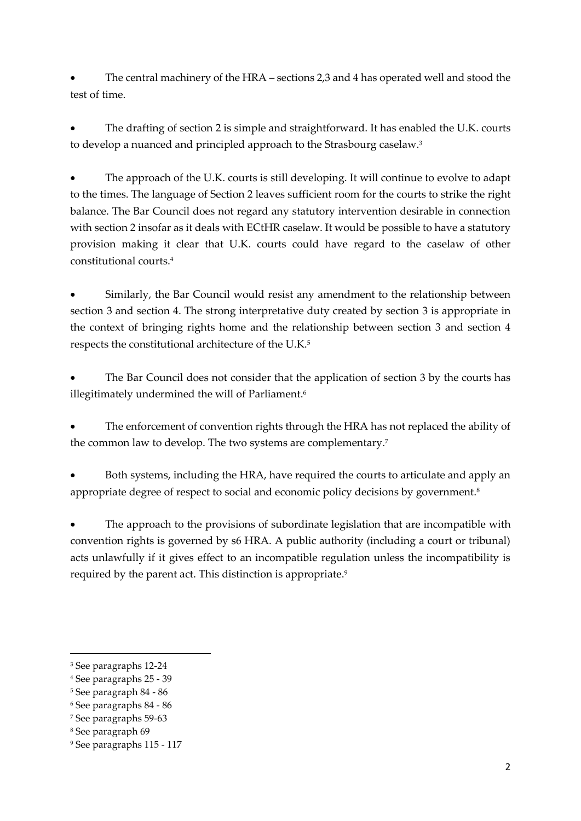• The central machinery of the HRA – sections 2,3 and 4 has operated well and stood the test of time.

The drafting of section 2 is simple and straightforward. It has enabled the U.K. courts to develop a nuanced and principled approach to the Strasbourg caselaw.<sup>3</sup>

• The approach of the U.K. courts is still developing. It will continue to evolve to adapt to the times. The language of Section 2 leaves sufficient room for the courts to strike the right balance. The Bar Council does not regard any statutory intervention desirable in connection with section 2 insofar as it deals with ECtHR caselaw. It would be possible to have a statutory provision making it clear that U.K. courts could have regard to the caselaw of other constitutional courts. 4

Similarly, the Bar Council would resist any amendment to the relationship between section 3 and section 4. The strong interpretative duty created by section 3 is appropriate in the context of bringing rights home and the relationship between section 3 and section 4 respects the constitutional architecture of the U.K. 5

The Bar Council does not consider that the application of section 3 by the courts has illegitimately undermined the will of Parliament.<sup>6</sup>

The enforcement of convention rights through the HRA has not replaced the ability of the common law to develop. The two systems are complementary.<sup>7</sup>

• Both systems, including the HRA, have required the courts to articulate and apply an appropriate degree of respect to social and economic policy decisions by government.<sup>8</sup>

The approach to the provisions of subordinate legislation that are incompatible with convention rights is governed by s6 HRA. A public authority (including a court or tribunal) acts unlawfully if it gives effect to an incompatible regulation unless the incompatibility is required by the parent act. This distinction is appropriate.<sup>9</sup>

<sup>3</sup> See paragraphs 12-24

<sup>4</sup> See paragraphs 25 - 39

<sup>5</sup> See paragraph 84 - 86

<sup>6</sup> See paragraphs 84 - 86

<sup>7</sup> See paragraphs 59-63

<sup>8</sup> See paragraph 69

<sup>9</sup> See paragraphs 115 - 117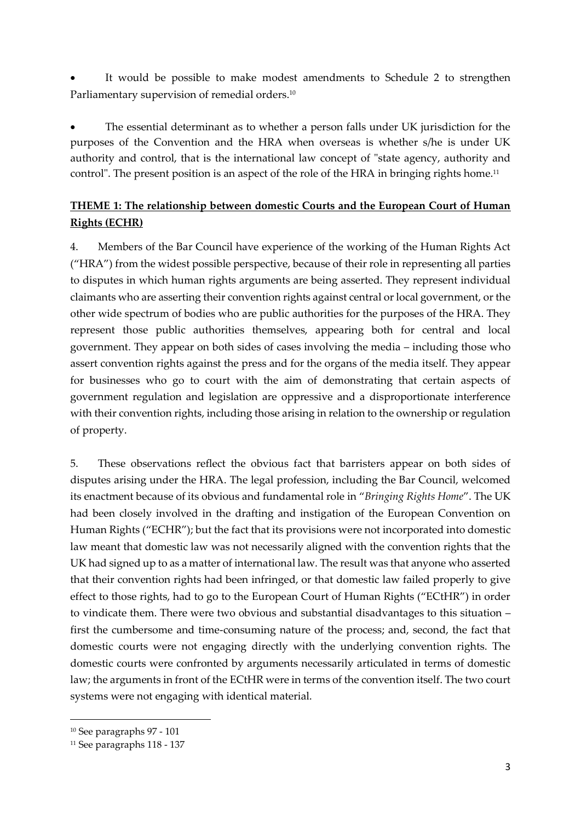It would be possible to make modest amendments to Schedule 2 to strengthen Parliamentary supervision of remedial orders.<sup>10</sup>

The essential determinant as to whether a person falls under UK jurisdiction for the purposes of the Convention and the HRA when overseas is whether s/he is under UK authority and control, that is the international law concept of "state agency, authority and control". The present position is an aspect of the role of the HRA in bringing rights home.<sup>11</sup>

# **THEME 1: The relationship between domestic Courts and the European Court of Human Rights (ECHR)**

4. Members of the Bar Council have experience of the working of the Human Rights Act ("HRA") from the widest possible perspective, because of their role in representing all parties to disputes in which human rights arguments are being asserted. They represent individual claimants who are asserting their convention rights against central or local government, or the other wide spectrum of bodies who are public authorities for the purposes of the HRA. They represent those public authorities themselves, appearing both for central and local government. They appear on both sides of cases involving the media – including those who assert convention rights against the press and for the organs of the media itself. They appear for businesses who go to court with the aim of demonstrating that certain aspects of government regulation and legislation are oppressive and a disproportionate interference with their convention rights, including those arising in relation to the ownership or regulation of property.

5. These observations reflect the obvious fact that barristers appear on both sides of disputes arising under the HRA. The legal profession, including the Bar Council, welcomed its enactment because of its obvious and fundamental role in "*Bringing Rights Home*". The UK had been closely involved in the drafting and instigation of the European Convention on Human Rights ("ECHR"); but the fact that its provisions were not incorporated into domestic law meant that domestic law was not necessarily aligned with the convention rights that the UK had signed up to as a matter of international law. The result was that anyone who asserted that their convention rights had been infringed, or that domestic law failed properly to give effect to those rights, had to go to the European Court of Human Rights ("ECtHR") in order to vindicate them. There were two obvious and substantial disadvantages to this situation – first the cumbersome and time-consuming nature of the process; and, second, the fact that domestic courts were not engaging directly with the underlying convention rights. The domestic courts were confronted by arguments necessarily articulated in terms of domestic law; the arguments in front of the ECtHR were in terms of the convention itself. The two court systems were not engaging with identical material.

<sup>10</sup> See paragraphs 97 - 101

<sup>11</sup> See paragraphs 118 - 137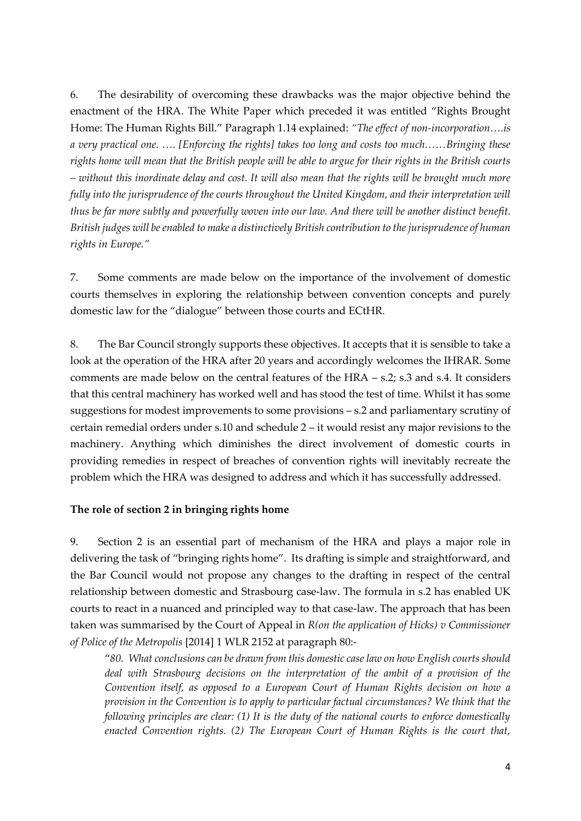6. The desirability of overcoming these drawbacks was the major objective behind the enactment of the HRA. The White Paper which preceded it was entitled "Rights Brought Home: The Human Rights Bill." Paragraph 1.14 explained: *"The effect of non-incorporation….is a very practical one. …. [Enforcing the rights] takes too long and costs too much……Bringing these rights home will mean that the British people will be able to argue for their rights in the British courts – without this inordinate delay and cost. It will also mean that the rights will be brought much more fully into the jurisprudence of the courts throughout the United Kingdom, and their interpretation will thus be far more subtly and powerfully woven into our law. And there will be another distinct benefit. British judges will be enabled to make a distinctively British contribution to the jurisprudence of human rights in Europe."*

7. Some comments are made below on the importance of the involvement of domestic courts themselves in exploring the relationship between convention concepts and purely domestic law for the "dialogue" between those courts and ECtHR.

8. The Bar Council strongly supports these objectives. It accepts that it is sensible to take a look at the operation of the HRA after 20 years and accordingly welcomes the IHRAR. Some comments are made below on the central features of the HRA – s.2; s.3 and s.4. It considers that this central machinery has worked well and has stood the test of time. Whilst it has some suggestions for modest improvements to some provisions – s.2 and parliamentary scrutiny of certain remedial orders under s.10 and schedule 2 – it would resist any major revisions to the machinery. Anything which diminishes the direct involvement of domestic courts in providing remedies in respect of breaches of convention rights will inevitably recreate the problem which the HRA was designed to address and which it has successfully addressed.

#### **The role of section 2 in bringing rights home**

9. Section 2 is an essential part of mechanism of the HRA and plays a major role in delivering the task of "bringing rights home". Its drafting is simple and straightforward, and the Bar Council would not propose any changes to the drafting in respect of the central relationship between domestic and Strasbourg case-law. The formula in s.2 has enabled UK courts to react in a nuanced and principled way to that case-law. The approach that has been taken was summarised by the Court of Appeal in *R(on the application of Hicks) v Commissioner of Police of the Metropolis* [2014] 1 WLR 2152 at paragraph 80:-

"*80. What conclusions can be drawn from this domestic case law on how English courts should deal with Strasbourg decisions on the interpretation of the ambit of a provision of the Convention itself, as opposed to a European Court of Human Rights decision on how a provision in the Convention is to apply to particular factual circumstances? We think that the following principles are clear: (1) It is the duty of the national courts to enforce domestically enacted Convention rights. (2) The European Court of Human Rights is the court that,*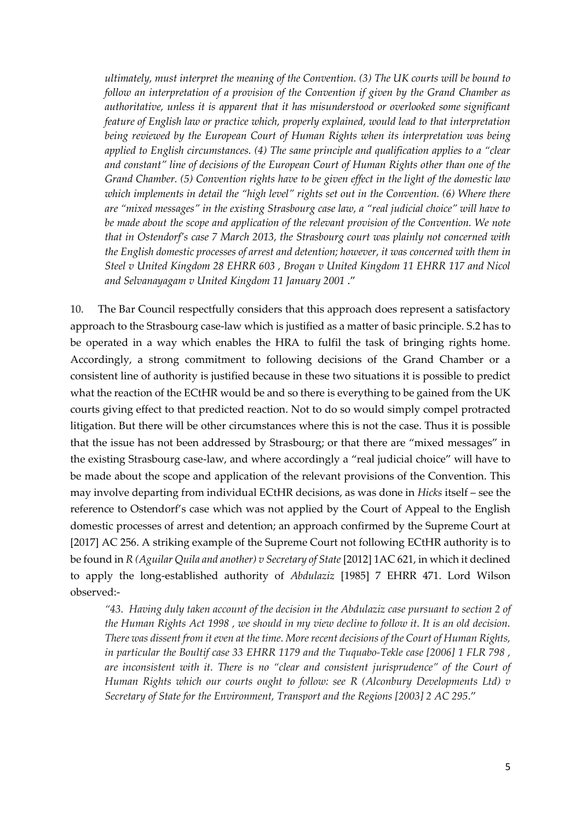*ultimately, must interpret the meaning of the Convention. (3) The UK courts will be bound to follow an interpretation of a provision of the Convention if given by the Grand Chamber as authoritative, unless it is apparent that it has misunderstood or overlooked some significant feature of English law or practice which, properly explained, would lead to that interpretation being reviewed by the European Court of Human Rights when its interpretation was being applied to English circumstances. (4) The same principle and qualification applies to a "clear and constant" line of decisions of the European Court of Human Rights other than one of the Grand Chamber. (5) Convention rights have to be given effect in the light of the domestic law*  which implements in detail the "high level" rights set out in the Convention. (6) Where there *are "mixed messages" in the existing Strasbourg case law, a "real judicial choice" will have to be made about the scope and application of the relevant provision of the Convention. We note that in Ostendorf's case 7 March 2013, the Strasbourg court was plainly not concerned with the English domestic processes of arrest and detention; however, it was concerned with them in Steel v United Kingdom 28 EHRR 603 , Brogan v United Kingdom 11 EHRR 117 and Nicol and Selvanayagam v United Kingdom 11 January 2001* ."

10. The Bar Council respectfully considers that this approach does represent a satisfactory approach to the Strasbourg case-law which is justified as a matter of basic principle. S.2 has to be operated in a way which enables the HRA to fulfil the task of bringing rights home. Accordingly, a strong commitment to following decisions of the Grand Chamber or a consistent line of authority is justified because in these two situations it is possible to predict what the reaction of the ECtHR would be and so there is everything to be gained from the UK courts giving effect to that predicted reaction. Not to do so would simply compel protracted litigation. But there will be other circumstances where this is not the case. Thus it is possible that the issue has not been addressed by Strasbourg; or that there are "mixed messages" in the existing Strasbourg case-law, and where accordingly a "real judicial choice" will have to be made about the scope and application of the relevant provisions of the Convention. This may involve departing from individual ECtHR decisions, as was done in *Hicks* itself – see the reference to Ostendorf's case which was not applied by the Court of Appeal to the English domestic processes of arrest and detention; an approach confirmed by the Supreme Court at [2017] AC 256. A striking example of the Supreme Court not following ECtHR authority is to be found in *R (Aguilar Quila and another) v Secretary of State* [2012] 1AC 621, in which it declined to apply the long-established authority of *Abdulaziz* [1985] 7 EHRR 471. Lord Wilson observed:-

*"43. Having duly taken account of the decision in the Abdulaziz case pursuant to [section 2 of](http://uk.westlaw.com/Document/I2B24CE80E45011DA8D70A0E70A78ED65/View/FullText.html?originationContext=document&transitionType=DocumentItem&vr=3.0&rs=PLUK1.0&contextData=(sc.Search))  [the Human Rights Act 1998](http://uk.westlaw.com/Document/I2B24CE80E45011DA8D70A0E70A78ED65/View/FullText.html?originationContext=document&transitionType=DocumentItem&vr=3.0&rs=PLUK1.0&contextData=(sc.Search)) , we should in my view decline to follow it. It is an old decision. There was dissent from it even at the time. More recent decisions of the Court of Human Rights, in particular the Boultif case 33 EHRR 1179 and the [Tuquabo-Tekle case \[2006\] 1 FLR 798](http://uk.westlaw.com/Document/IA5C837E0E43611DA8FC2A0F0355337E9/View/FullText.html?originationContext=document&transitionType=DocumentItem&vr=3.0&rs=PLUK1.0&contextData=(sc.Search)) ,*  are inconsistent with it. There is no "clear and consistent jurisprudence" of the Court of *Human Rights which our courts ought to follow: see [R \(Alconbury Developments Ltd\) v](http://uk.westlaw.com/Document/I79A6F2E0E42811DA8FC2A0F0355337E9/View/FullText.html?originationContext=document&transitionType=DocumentItem&vr=3.0&rs=PLUK1.0&contextData=(sc.Search))  [Secretary of State for the Environment, Transport and the Regions \[2003\] 2 AC 295](http://uk.westlaw.com/Document/I79A6F2E0E42811DA8FC2A0F0355337E9/View/FullText.html?originationContext=document&transitionType=DocumentItem&vr=3.0&rs=PLUK1.0&contextData=(sc.Search))*."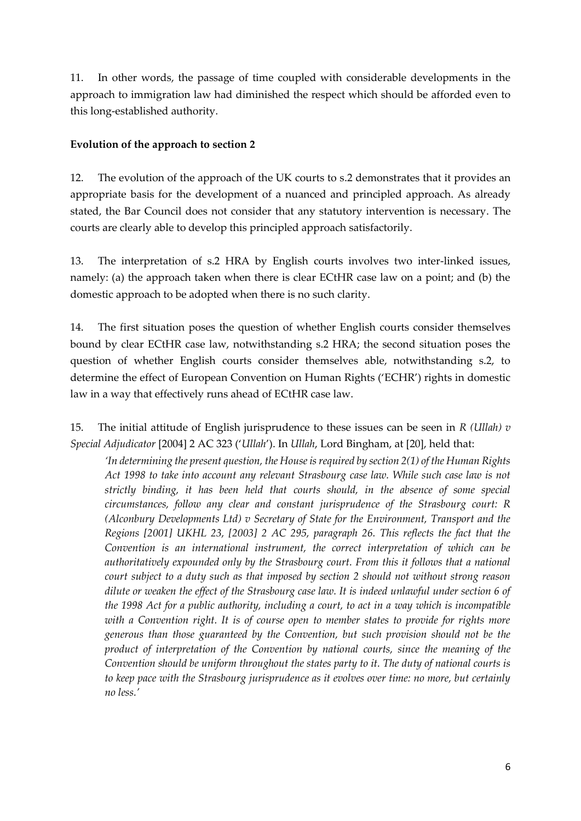11. In other words, the passage of time coupled with considerable developments in the approach to immigration law had diminished the respect which should be afforded even to this long-established authority.

## **Evolution of the approach to section 2**

12. The evolution of the approach of the UK courts to s.2 demonstrates that it provides an appropriate basis for the development of a nuanced and principled approach. As already stated, the Bar Council does not consider that any statutory intervention is necessary. The courts are clearly able to develop this principled approach satisfactorily.

13. The interpretation of s.2 HRA by English courts involves two inter-linked issues, namely: (a) the approach taken when there is clear ECtHR case law on a point; and (b) the domestic approach to be adopted when there is no such clarity.

14. The first situation poses the question of whether English courts consider themselves bound by clear ECtHR case law, notwithstanding s.2 HRA; the second situation poses the question of whether English courts consider themselves able, notwithstanding s.2, to determine the effect of European Convention on Human Rights ('ECHR') rights in domestic law in a way that effectively runs ahead of ECtHR case law.

15. The initial attitude of English jurisprudence to these issues can be seen in *R (Ullah) v Special Adjudicator* [2004] 2 AC 323 ('*Ullah*'). In *Ullah*, Lord Bingham, at [20], held that:

*'In determining the present question, the House is required by section 2(1) of the Human Rights Act 1998 to take into account any relevant Strasbourg case law. While such case law is not strictly binding, it has been held that courts should, in the absence of some special circumstances, follow any clear and constant jurisprudence of the Strasbourg court: R (Alconbury Developments Ltd) v Secretary of State for the Environment, Transport and the Regions [2001] UKHL 23, [2003] 2 AC 295, paragraph 26. This reflects the fact that the Convention is an international instrument, the correct interpretation of which can be authoritatively expounded only by the Strasbourg court. From this it follows that a national court subject to a duty such as that imposed by section 2 should not without strong reason dilute or weaken the effect of the Strasbourg case law. It is indeed unlawful under section 6 of the 1998 Act for a public authority, including a court, to act in a way which is incompatible with a Convention right. It is of course open to member states to provide for rights more generous than those guaranteed by the Convention, but such provision should not be the product of interpretation of the Convention by national courts, since the meaning of the Convention should be uniform throughout the states party to it. The duty of national courts is to keep pace with the Strasbourg jurisprudence as it evolves over time: no more, but certainly no less.'*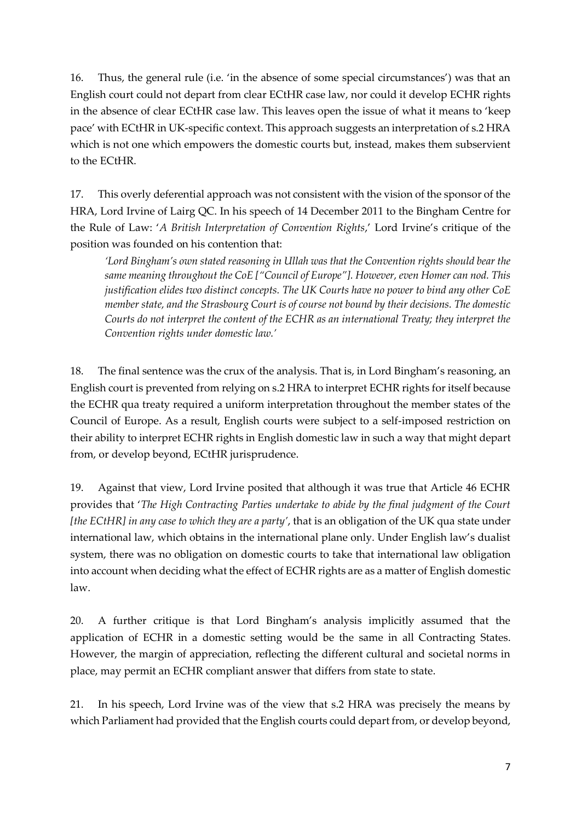16. Thus, the general rule (i.e. 'in the absence of some special circumstances') was that an English court could not depart from clear ECtHR case law, nor could it develop ECHR rights in the absence of clear ECtHR case law. This leaves open the issue of what it means to 'keep pace' with ECtHR in UK-specific context. This approach suggests an interpretation of s.2 HRA which is not one which empowers the domestic courts but, instead, makes them subservient to the ECtHR.

17. This overly deferential approach was not consistent with the vision of the sponsor of the HRA, Lord Irvine of Lairg QC. In his speech of 14 December 2011 to the Bingham Centre for the Rule of Law: '*A British Interpretation of Convention Rights*,' Lord Irvine's critique of the position was founded on his contention that:

*'Lord Bingham's own stated reasoning in Ullah was that the Convention rights should bear the same meaning throughout the CoE ["Council of Europe"]. However, even Homer can nod. This justification elides two distinct concepts. The UK Courts have no power to bind any other CoE member state, and the Strasbourg Court is of course not bound by their decisions. The domestic Courts do not interpret the content of the ECHR as an international Treaty; they interpret the Convention rights under domestic law.'* 

18. The final sentence was the crux of the analysis. That is, in Lord Bingham's reasoning, an English court is prevented from relying on s.2 HRA to interpret ECHR rights for itself because the ECHR qua treaty required a uniform interpretation throughout the member states of the Council of Europe. As a result, English courts were subject to a self-imposed restriction on their ability to interpret ECHR rights in English domestic law in such a way that might depart from, or develop beyond, ECtHR jurisprudence.

19. Against that view, Lord Irvine posited that although it was true that Article 46 ECHR provides that '*The High Contracting Parties undertake to abide by the final judgment of the Court [the ECtHR] in any case to which they are a party'*, that is an obligation of the UK qua state under international law, which obtains in the international plane only. Under English law's dualist system, there was no obligation on domestic courts to take that international law obligation into account when deciding what the effect of ECHR rights are as a matter of English domestic law.

20. A further critique is that Lord Bingham's analysis implicitly assumed that the application of ECHR in a domestic setting would be the same in all Contracting States. However, the margin of appreciation, reflecting the different cultural and societal norms in place, may permit an ECHR compliant answer that differs from state to state.

21. In his speech, Lord Irvine was of the view that s.2 HRA was precisely the means by which Parliament had provided that the English courts could depart from, or develop beyond,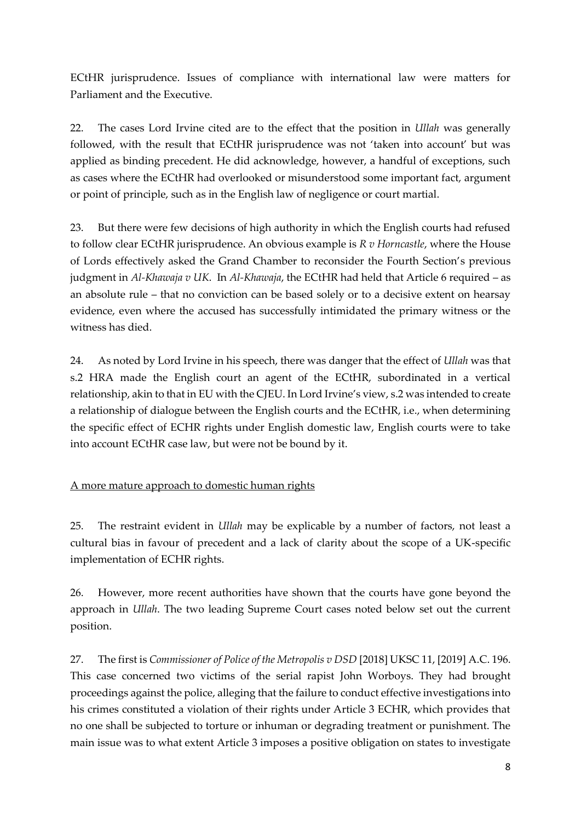ECtHR jurisprudence. Issues of compliance with international law were matters for Parliament and the Executive.

22. The cases Lord Irvine cited are to the effect that the position in *Ullah* was generally followed, with the result that ECtHR jurisprudence was not 'taken into account' but was applied as binding precedent. He did acknowledge, however, a handful of exceptions, such as cases where the ECtHR had overlooked or misunderstood some important fact, argument or point of principle, such as in the English law of negligence or court martial.

23. But there were few decisions of high authority in which the English courts had refused to follow clear ECtHR jurisprudence. An obvious example is *R v Horncastle*, where the House of Lords effectively asked the Grand Chamber to reconsider the Fourth Section's previous judgment in *Al-Khawaja v UK*. In *Al-Khawaja*, the ECtHR had held that Article 6 required – as an absolute rule – that no conviction can be based solely or to a decisive extent on hearsay evidence, even where the accused has successfully intimidated the primary witness or the witness has died.

24. As noted by Lord Irvine in his speech, there was danger that the effect of *Ullah* was that s.2 HRA made the English court an agent of the ECtHR, subordinated in a vertical relationship, akin to that in EU with the CJEU. In Lord Irvine's view, s.2 was intended to create a relationship of dialogue between the English courts and the ECtHR, i.e., when determining the specific effect of ECHR rights under English domestic law, English courts were to take into account ECtHR case law, but were not be bound by it.

## A more mature approach to domestic human rights

25. The restraint evident in *Ullah* may be explicable by a number of factors, not least a cultural bias in favour of precedent and a lack of clarity about the scope of a UK-specific implementation of ECHR rights.

26. However, more recent authorities have shown that the courts have gone beyond the approach in *Ullah*. The two leading Supreme Court cases noted below set out the current position.

27. The first is *Commissioner of Police of the Metropolis v DSD* [2018] UKSC 11, [2019] A.C. 196. This case concerned two victims of the serial rapist John Worboys. They had brought proceedings against the police, alleging that the failure to conduct effective investigations into his crimes constituted a violation of their rights under Article 3 ECHR, which provides that no one shall be subjected to torture or inhuman or degrading treatment or punishment. The main issue was to what extent Article 3 imposes a positive obligation on states to investigate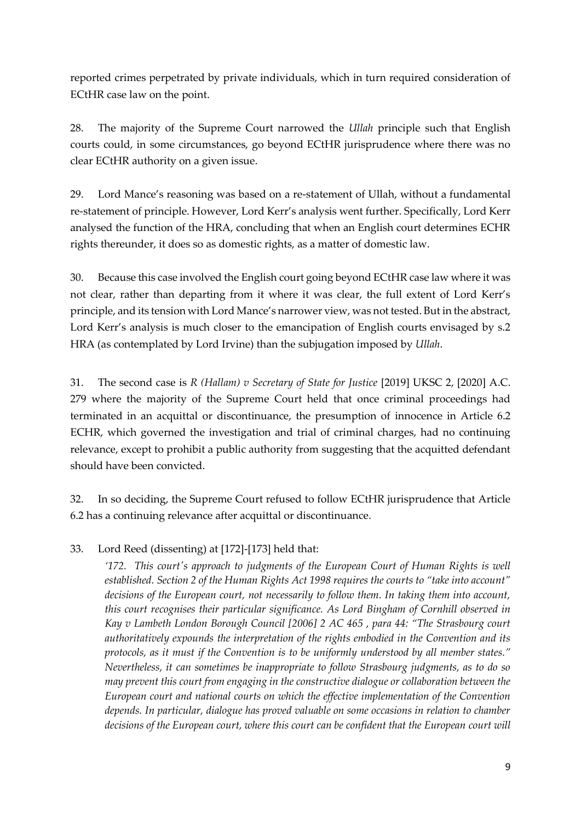reported crimes perpetrated by private individuals, which in turn required consideration of ECtHR case law on the point.

28. The majority of the Supreme Court narrowed the *Ullah* principle such that English courts could, in some circumstances, go beyond ECtHR jurisprudence where there was no clear ECtHR authority on a given issue.

29. Lord Mance's reasoning was based on a re-statement of Ullah, without a fundamental re-statement of principle. However, Lord Kerr's analysis went further. Specifically, Lord Kerr analysed the function of the HRA, concluding that when an English court determines ECHR rights thereunder, it does so as domestic rights, as a matter of domestic law.

30. Because this case involved the English court going beyond ECtHR case law where it was not clear, rather than departing from it where it was clear, the full extent of Lord Kerr's principle, and its tension with Lord Mance's narrower view, was not tested. But in the abstract, Lord Kerr's analysis is much closer to the emancipation of English courts envisaged by s.2 HRA (as contemplated by Lord Irvine) than the subjugation imposed by *Ullah*.

31. The second case is *R (Hallam) v Secretary of State for Justice* [2019] UKSC 2, [2020] A.C. 279 where the majority of the Supreme Court held that once criminal proceedings had terminated in an acquittal or discontinuance, the presumption of innocence in Article 6.2 ECHR, which governed the investigation and trial of criminal charges, had no continuing relevance, except to prohibit a public authority from suggesting that the acquitted defendant should have been convicted.

32. In so deciding, the Supreme Court refused to follow ECtHR jurisprudence that Article 6.2 has a continuing relevance after acquittal or discontinuance.

## 33. Lord Reed (dissenting) at [172]-[173] held that:

*'172. This court's approach to judgments of the European Court of Human Rights is well established. Section 2 of the Human Rights Act 1998 requires the courts to "take into account" decisions of the European court, not necessarily to follow them. In taking them into account, this court recognises their particular significance. As Lord Bingham of Cornhill observed in Kay v Lambeth London Borough Council [2006] 2 AC 465 , para 44: "The Strasbourg court authoritatively expounds the interpretation of the rights embodied in the Convention and its protocols, as it must if the Convention is to be uniformly understood by all member states." Nevertheless, it can sometimes be inappropriate to follow Strasbourg judgments, as to do so may prevent this court from engaging in the constructive dialogue or collaboration between the European court and national courts on which the effective implementation of the Convention depends. In particular, dialogue has proved valuable on some occasions in relation to chamber decisions of the European court, where this court can be confident that the European court will*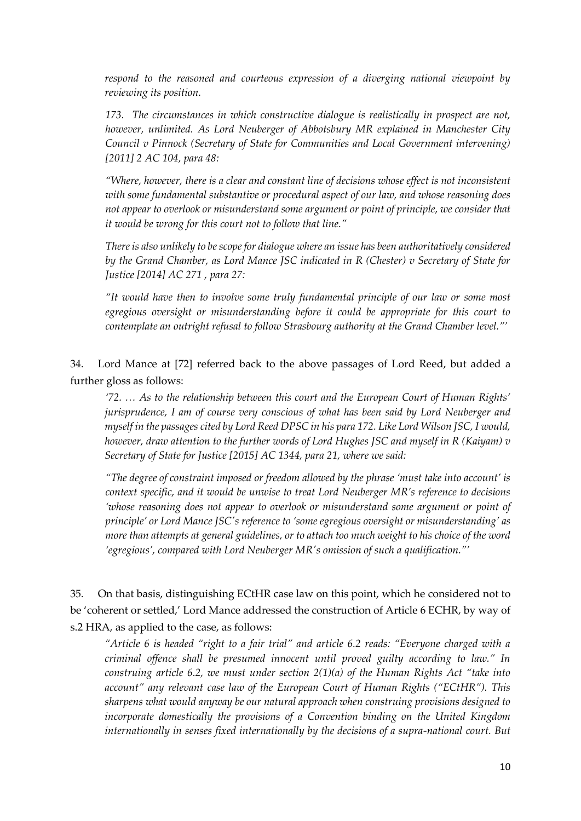*respond to the reasoned and courteous expression of a diverging national viewpoint by reviewing its position.*

*173. The circumstances in which constructive dialogue is realistically in prospect are not, however, unlimited. As Lord Neuberger of Abbotsbury MR explained in Manchester City Council v Pinnock (Secretary of State for Communities and Local Government intervening) [2011] 2 AC 104, para 48:*

*"Where, however, there is a clear and constant line of decisions whose effect is not inconsistent with some fundamental substantive or procedural aspect of our law, and whose reasoning does not appear to overlook or misunderstand some argument or point of principle, we consider that it would be wrong for this court not to follow that line."*

*There is also unlikely to be scope for dialogue where an issue has been authoritatively considered by the Grand Chamber, as Lord Mance JSC indicated in R (Chester) v Secretary of State for Justice [2014] AC 271 , para 27:*

*"It would have then to involve some truly fundamental principle of our law or some most egregious oversight or misunderstanding before it could be appropriate for this court to contemplate an outright refusal to follow Strasbourg authority at the Grand Chamber level."'*

34. Lord Mance at [72] referred back to the above passages of Lord Reed, but added a further gloss as follows:

*'72. … As to the relationship between this court and the European Court of Human Rights' jurisprudence, I am of course very conscious of what has been said by Lord Neuberger and myself in the passages cited by Lord Reed DPSC in his para 172. Like Lord Wilson JSC, I would, however, draw attention to the further words of Lord Hughes JSC and myself in R (Kaiyam) v Secretary of State for Justice [2015] AC 1344, para 21, where we said:*

*"The degree of constraint imposed or freedom allowed by the phrase 'must take into account' is context specific, and it would be unwise to treat Lord Neuberger MR's reference to decisions 'whose reasoning does not appear to overlook or misunderstand some argument or point of principle' or Lord Mance JSC's reference to 'some egregious oversight or misunderstanding' as more than attempts at general guidelines, or to attach too much weight to his choice of the word 'egregious', compared with Lord Neuberger MR's omission of such a qualification."'* 

35. On that basis, distinguishing ECtHR case law on this point, which he considered not to be 'coherent or settled,' Lord Mance addressed the construction of Article 6 ECHR, by way of s.2 HRA, as applied to the case, as follows:

*"Article 6 is headed "right to a fair trial" and article 6.2 reads: "Everyone charged with a criminal offence shall be presumed innocent until proved guilty according to law." In construing article 6.2, we must under section 2(1)(a) of the Human Rights Act "take into account" any relevant case law of the European Court of Human Rights ("ECtHR"). This sharpens what would anyway be our natural approach when construing provisions designed to incorporate domestically the provisions of a Convention binding on the United Kingdom internationally in senses fixed internationally by the decisions of a supra-national court. But*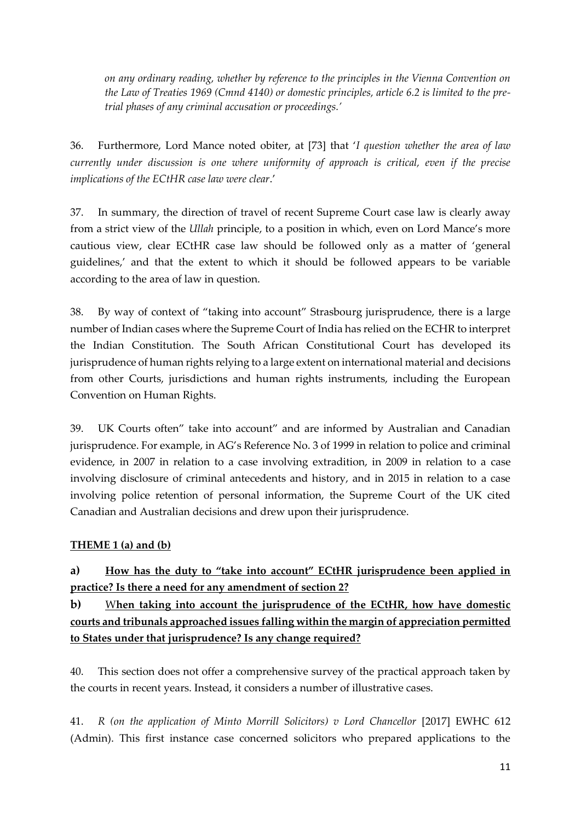*on any ordinary reading, whether by reference to the principles in the Vienna Convention on the Law of Treaties 1969 (Cmnd 4140) or domestic principles, article 6.2 is limited to the pretrial phases of any criminal accusation or proceedings.'*

36. Furthermore, Lord Mance noted obiter, at [73] that '*I question whether the area of law currently under discussion is one where uniformity of approach is critical, even if the precise implications of the ECtHR case law were clear*.'

37. In summary, the direction of travel of recent Supreme Court case law is clearly away from a strict view of the *Ullah* principle, to a position in which, even on Lord Mance's more cautious view, clear ECtHR case law should be followed only as a matter of 'general guidelines,' and that the extent to which it should be followed appears to be variable according to the area of law in question.

38. By way of context of "taking into account" Strasbourg jurisprudence, there is a large number of Indian cases where the Supreme Court of India has relied on the ECHR to interpret the Indian Constitution. The South African Constitutional Court has developed its jurisprudence of human rights relying to a large extent on international material and decisions from other Courts, jurisdictions and human rights instruments, including the European Convention on Human Rights.

39. UK Courts often" take into account" and are informed by Australian and Canadian jurisprudence. For example, in AG's Reference No. 3 of 1999 in relation to police and criminal evidence, in 2007 in relation to a case involving extradition, in 2009 in relation to a case involving disclosure of criminal antecedents and history, and in 2015 in relation to a case involving police retention of personal information, the Supreme Court of the UK cited Canadian and Australian decisions and drew upon their jurisprudence.

## **THEME 1 (a) and (b)**

**a) How has the duty to "take into account" ECtHR jurisprudence been applied in practice? Is there a need for any amendment of section 2?**

**b)** W**hen taking into account the jurisprudence of the ECtHR, how have domestic courts and tribunals approached issues falling within the margin of appreciation permitted to States under that jurisprudence? Is any change required?**

40. This section does not offer a comprehensive survey of the practical approach taken by the courts in recent years. Instead, it considers a number of illustrative cases.

41. *R (on the application of Minto Morrill Solicitors) v Lord Chancellor* [2017] EWHC 612 (Admin). This first instance case concerned solicitors who prepared applications to the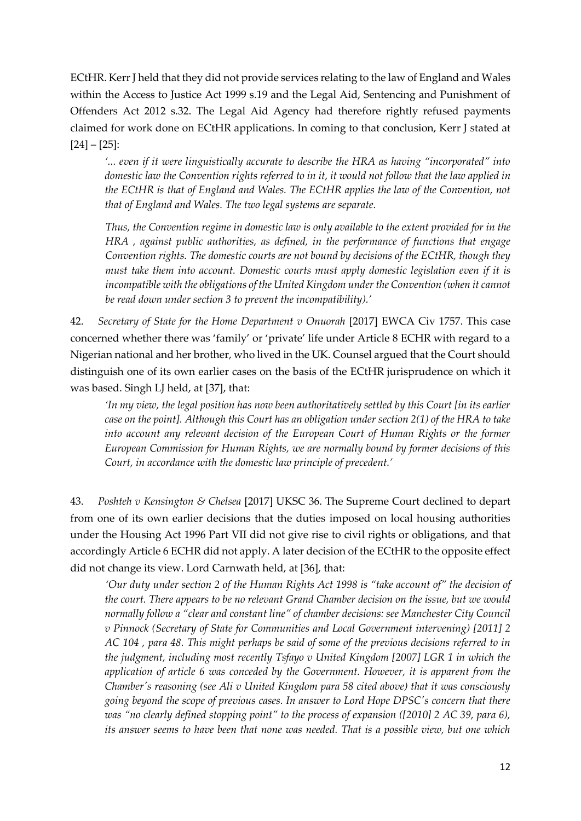ECtHR. Kerr J held that they did not provide services relating to the law of England and Wales within the Access to Justice Act 1999 s.19 and the Legal Aid, Sentencing and Punishment of Offenders Act 2012 s.32. The Legal Aid Agency had therefore rightly refused payments claimed for work done on ECtHR applications. In coming to that conclusion, Kerr J stated at  $[24] - [25]$ :

*'... even if it were linguistically accurate to describe the HRA as having "incorporated" into domestic law the Convention rights referred to in it, it would not follow that the law applied in the ECtHR is that of England and Wales. The ECtHR applies the law of the Convention, not that of England and Wales. The two legal systems are separate.*

*Thus, the Convention regime in domestic law is only available to the extent provided for in the HRA , against public authorities, as defined, in the performance of functions that engage Convention rights. The domestic courts are not bound by decisions of the ECtHR, though they must take them into account. Domestic courts must apply domestic legislation even if it is incompatible with the obligations of the United Kingdom under the Convention (when it cannot be read down under section 3 to prevent the incompatibility).'*

42. *Secretary of State for the Home Department v Onuorah* [2017] EWCA Civ 1757. This case concerned whether there was 'family' or 'private' life under Article 8 ECHR with regard to a Nigerian national and her brother, who lived in the UK. Counsel argued that the Court should distinguish one of its own earlier cases on the basis of the ECtHR jurisprudence on which it was based. Singh LJ held, at [37], that:

*'In my view, the legal position has now been authoritatively settled by this Court [in its earlier case on the point]. Although this Court has an obligation under section 2(1) of the HRA to take into account any relevant decision of the European Court of Human Rights or the former European Commission for Human Rights, we are normally bound by former decisions of this Court, in accordance with the domestic law principle of precedent.'*

43. *Poshteh v Kensington & Chelsea* [2017] UKSC 36. The Supreme Court declined to depart from one of its own earlier decisions that the duties imposed on local housing authorities under the Housing Act 1996 Part VII did not give rise to civil rights or obligations, and that accordingly Article 6 ECHR did not apply. A later decision of the ECtHR to the opposite effect did not change its view. Lord Carnwath held, at [36], that:

*'Our duty under section 2 of the Human Rights Act 1998 is "take account of" the decision of the court. There appears to be no relevant Grand Chamber decision on the issue, but we would normally follow a "clear and constant line" of chamber decisions: see Manchester City Council v Pinnock (Secretary of State for Communities and Local Government intervening) [2011] 2 AC 104 , para 48. This might perhaps be said of some of the previous decisions referred to in the judgment, including most recently Tsfayo v United Kingdom [2007] LGR 1 in which the application of article 6 was conceded by the Government. However, it is apparent from the Chamber's reasoning (see Ali v United Kingdom para 58 cited above) that it was consciously going beyond the scope of previous cases. In answer to Lord Hope DPSC's concern that there was "no clearly defined stopping point" to the process of expansion ([2010] 2 AC 39, para 6), its answer seems to have been that none was needed. That is a possible view, but one which*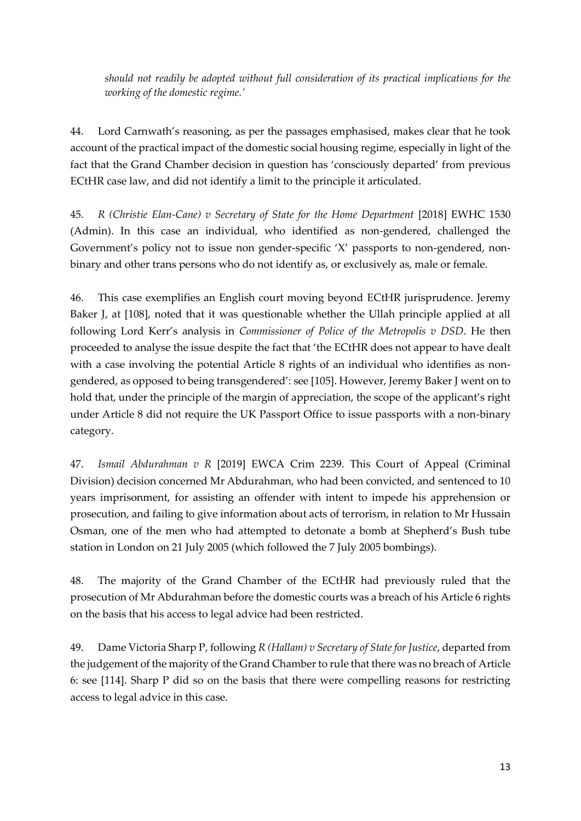*should not readily be adopted without full consideration of its practical implications for the working of the domestic regime.'* 

44. Lord Carnwath's reasoning, as per the passages emphasised, makes clear that he took account of the practical impact of the domestic social housing regime, especially in light of the fact that the Grand Chamber decision in question has 'consciously departed' from previous ECtHR case law, and did not identify a limit to the principle it articulated.

45. *R (Christie Elan-Cane) v Secretary of State for the Home Department* [2018] EWHC 1530 (Admin). In this case an individual, who identified as non-gendered, challenged the Government's policy not to issue non gender-specific 'X' passports to non-gendered, nonbinary and other trans persons who do not identify as, or exclusively as, male or female.

46. This case exemplifies an English court moving beyond ECtHR jurisprudence. Jeremy Baker J, at [108], noted that it was questionable whether the Ullah principle applied at all following Lord Kerr's analysis in *Commissioner of Police of the Metropolis v DSD*. He then proceeded to analyse the issue despite the fact that 'the ECtHR does not appear to have dealt with a case involving the potential Article 8 rights of an individual who identifies as nongendered, as opposed to being transgendered': see [105]. However, Jeremy Baker J went on to hold that, under the principle of the margin of appreciation, the scope of the applicant's right under Article 8 did not require the UK Passport Office to issue passports with a non-binary category.

47. *Ismail Abdurahman v R* [2019] EWCA Crim 2239. This Court of Appeal (Criminal Division) decision concerned Mr Abdurahman, who had been convicted, and sentenced to 10 years imprisonment, for assisting an offender with intent to impede his apprehension or prosecution, and failing to give information about acts of terrorism, in relation to Mr Hussain Osman, one of the men who had attempted to detonate a bomb at Shepherd's Bush tube station in London on 21 July 2005 (which followed the 7 July 2005 bombings).

48. The majority of the Grand Chamber of the ECtHR had previously ruled that the prosecution of Mr Abdurahman before the domestic courts was a breach of his Article 6 rights on the basis that his access to legal advice had been restricted.

49. Dame Victoria Sharp P, following *R (Hallam) v Secretary of State for Justice*, departed from the judgement of the majority of the Grand Chamber to rule that there was no breach of Article 6: see [114]. Sharp P did so on the basis that there were compelling reasons for restricting access to legal advice in this case.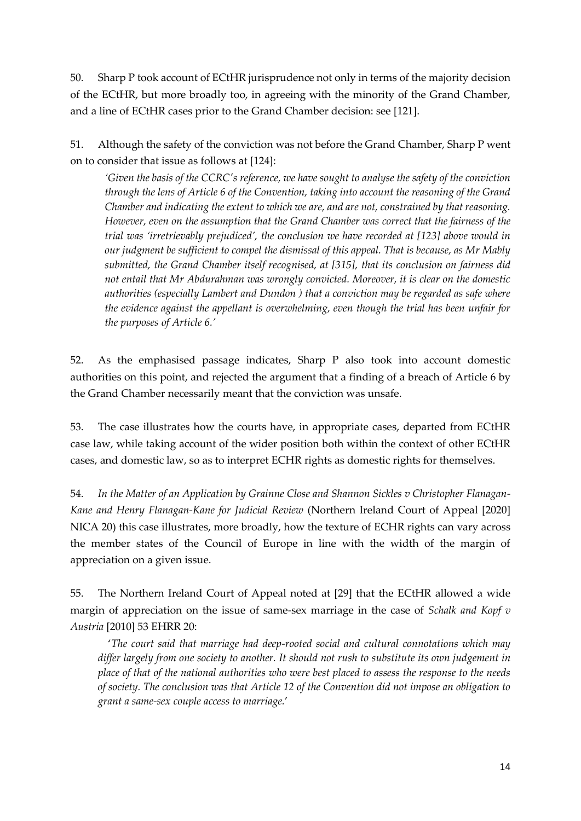50. Sharp P took account of ECtHR jurisprudence not only in terms of the majority decision of the ECtHR, but more broadly too, in agreeing with the minority of the Grand Chamber, and a line of ECtHR cases prior to the Grand Chamber decision: see [121].

51. Although the safety of the conviction was not before the Grand Chamber, Sharp P went on to consider that issue as follows at [124]:

*'Given the basis of the CCRC's reference, we have sought to analyse the safety of the conviction through the lens of Article 6 of the Convention, taking into account the reasoning of the Grand Chamber and indicating the extent to which we are, and are not, constrained by that reasoning. However, even on the assumption that the Grand Chamber was correct that the fairness of the trial was 'irretrievably prejudiced', the conclusion we have recorded at [123] above would in our judgment be sufficient to compel the dismissal of this appeal. That is because, as Mr Mably submitted, the Grand Chamber itself recognised, at [315], that its conclusion on fairness did not entail that Mr Abdurahman was wrongly convicted. Moreover, it is clear on the domestic authorities (especially Lambert and Dundon ) that a conviction may be regarded as safe where the evidence against the appellant is overwhelming, even though the trial has been unfair for the purposes of Article 6.'*

52. As the emphasised passage indicates, Sharp P also took into account domestic authorities on this point, and rejected the argument that a finding of a breach of Article 6 by the Grand Chamber necessarily meant that the conviction was unsafe.

53. The case illustrates how the courts have, in appropriate cases, departed from ECtHR case law, while taking account of the wider position both within the context of other ECtHR cases, and domestic law, so as to interpret ECHR rights as domestic rights for themselves.

54. *In the Matter of an Application by Grainne Close and Shannon Sickles v Christopher Flanagan-Kane and Henry Flanagan-Kane for Judicial Review* (Northern Ireland Court of Appeal [2020] NICA 20) this case illustrates, more broadly, how the texture of ECHR rights can vary across the member states of the Council of Europe in line with the width of the margin of appreciation on a given issue.

55. The Northern Ireland Court of Appeal noted at [29] that the ECtHR allowed a wide margin of appreciation on the issue of same-sex marriage in the case of *Schalk and Kopf v Austria* [2010] 53 EHRR 20:

'*The court said that marriage had deep-rooted social and cultural connotations which may differ largely from one society to another. It should not rush to substitute its own judgement in place of that of the national authorities who were best placed to assess the response to the needs of society. The conclusion was that Article 12 of the Convention did not impose an obligation to grant a same-sex couple access to marriage.*'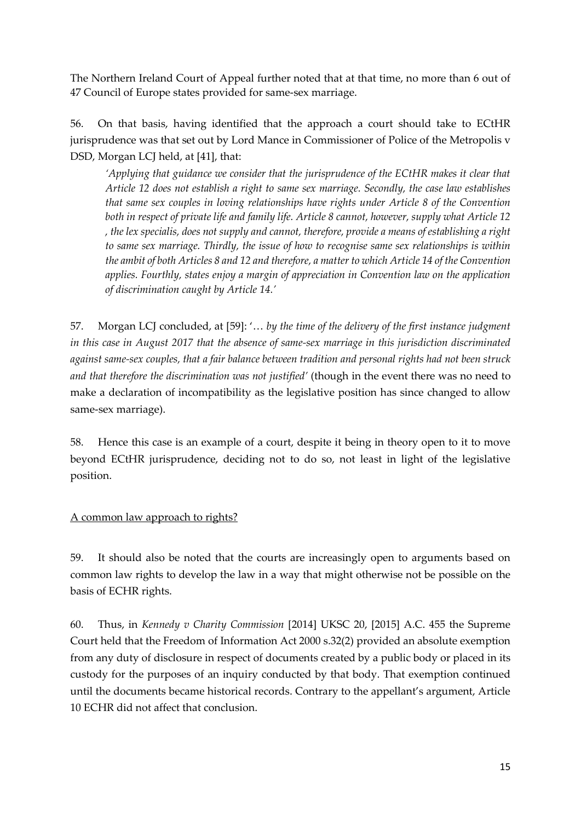The Northern Ireland Court of Appeal further noted that at that time, no more than 6 out of 47 Council of Europe states provided for same-sex marriage.

56. On that basis, having identified that the approach a court should take to ECtHR jurisprudence was that set out by Lord Mance in Commissioner of Police of the Metropolis v DSD, Morgan LCJ held, at [41], that:

*'Applying that guidance we consider that the jurisprudence of the ECtHR makes it clear that Article 12 does not establish a right to same sex marriage. Secondly, the case law establishes that same sex couples in loving relationships have rights under Article 8 of the Convention both in respect of private life and family life. Article 8 cannot, however, supply what Article 12 , the lex specialis, does not supply and cannot, therefore, provide a means of establishing a right to same sex marriage. Thirdly, the issue of how to recognise same sex relationships is within the ambit of both Articles 8 and 12 and therefore, a matter to which Article 14 of the Convention applies. Fourthly, states enjoy a margin of appreciation in Convention law on the application of discrimination caught by Article 14.'*

57. Morgan LCJ concluded, at [59]: '… *by the time of the delivery of the first instance judgment in this case in August 2017 that the absence of same-sex marriage in this jurisdiction discriminated against same-sex couples, that a fair balance between tradition and personal rights had not been struck and that therefore the discrimination was not justified'* (though in the event there was no need to make a declaration of incompatibility as the legislative position has since changed to allow same-sex marriage).

58. Hence this case is an example of a court, despite it being in theory open to it to move beyond ECtHR jurisprudence, deciding not to do so, not least in light of the legislative position.

A common law approach to rights?

59. It should also be noted that the courts are increasingly open to arguments based on common law rights to develop the law in a way that might otherwise not be possible on the basis of ECHR rights.

60. Thus, in *Kennedy v Charity Commission* [2014] UKSC 20, [2015] A.C. 455 the Supreme Court held that the Freedom of Information Act 2000 s.32(2) provided an absolute exemption from any duty of disclosure in respect of documents created by a public body or placed in its custody for the purposes of an inquiry conducted by that body. That exemption continued until the documents became historical records. Contrary to the appellant's argument, Article 10 ECHR did not affect that conclusion.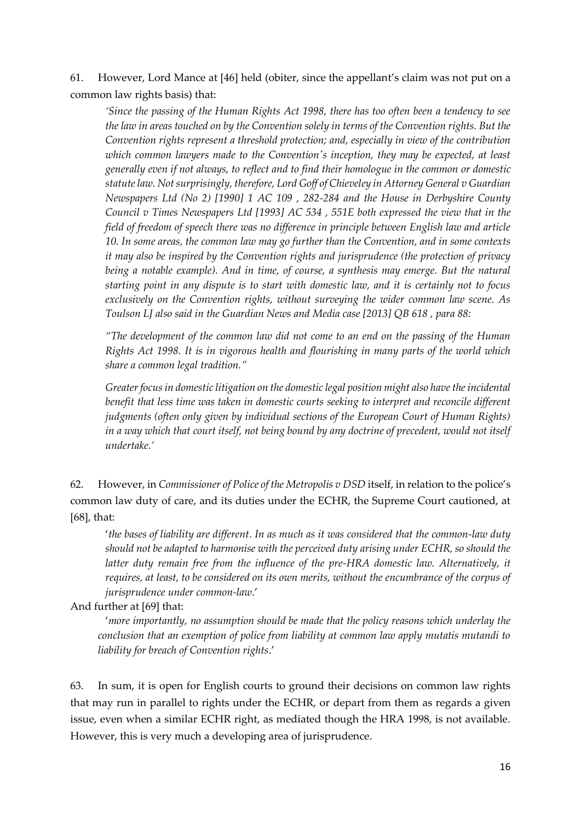61. However, Lord Mance at [46] held (obiter, since the appellant's claim was not put on a common law rights basis) that:

*'Since the passing of the Human Rights Act 1998, there has too often been a tendency to see the law in areas touched on by the Convention solely in terms of the Convention rights. But the Convention rights represent a threshold protection; and, especially in view of the contribution which common lawyers made to the Convention's inception, they may be expected, at least generally even if not always, to reflect and to find their homologue in the common or domestic statute law. Not surprisingly, therefore, Lord Goff of Chieveley in Attorney General v Guardian Newspapers Ltd (No 2) [1990] 1 AC 109 , 282-284 and the House in Derbyshire County Council v Times Newspapers Ltd [1993] AC 534 , 551E both expressed the view that in the field of freedom of speech there was no difference in principle between English law and article 10. In some areas, the common law may go further than the Convention, and in some contexts it may also be inspired by the Convention rights and jurisprudence (the protection of privacy being a notable example). And in time, of course, a synthesis may emerge. But the natural starting point in any dispute is to start with domestic law, and it is certainly not to focus exclusively on the Convention rights, without surveying the wider common law scene. As Toulson LJ also said in the Guardian News and Media case [2013] QB 618 , para 88:*

*"The development of the common law did not come to an end on the passing of the Human Rights Act 1998. It is in vigorous health and flourishing in many parts of the world which share a common legal tradition."*

*Greater focus in domestic litigation on the domestic legal position might also have the incidental benefit that less time was taken in domestic courts seeking to interpret and reconcile different judgments (often only given by individual sections of the European Court of Human Rights) in a way which that court itself, not being bound by any doctrine of precedent, would not itself undertake.'*

62. However, in *Commissioner of Police of the Metropolis v DSD* itself, in relation to the police's common law duty of care, and its duties under the ECHR, the Supreme Court cautioned, at [68], that:

'*the bases of liability are different. In as much as it was considered that the common-law duty should not be adapted to harmonise with the perceived duty arising under ECHR, so should the*  latter duty remain free from the influence of the pre-HRA domestic law. Alternatively, it *requires, at least, to be considered on its own merits, without the encumbrance of the corpus of jurisprudence under common-law*.'

### And further at [69] that:

'*more importantly, no assumption should be made that the policy reasons which underlay the conclusion that an exemption of police from liability at common law apply mutatis mutandi to liability for breach of Convention rights*.'

63. In sum, it is open for English courts to ground their decisions on common law rights that may run in parallel to rights under the ECHR, or depart from them as regards a given issue, even when a similar ECHR right, as mediated though the HRA 1998, is not available. However, this is very much a developing area of jurisprudence.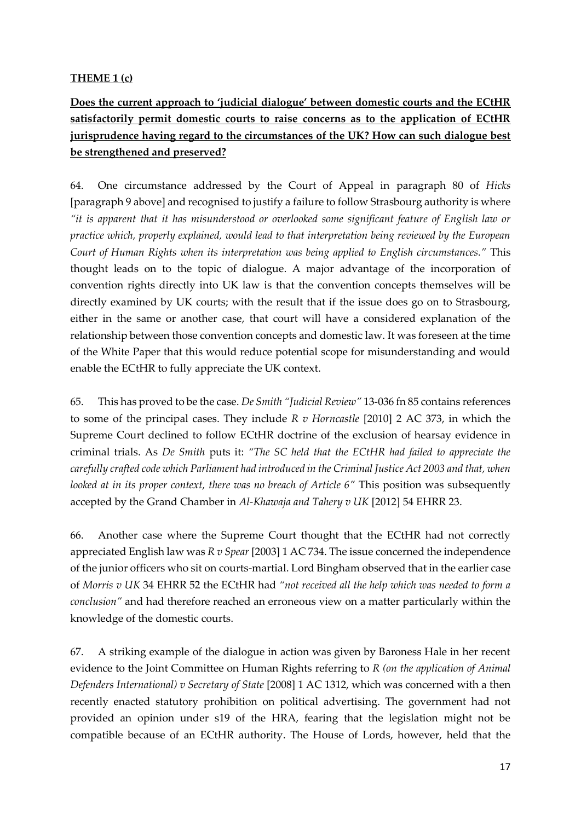## **THEME 1 (c)**

**Does the current approach to 'judicial dialogue' between domestic courts and the ECtHR satisfactorily permit domestic courts to raise concerns as to the application of ECtHR jurisprudence having regard to the circumstances of the UK? How can such dialogue best be strengthened and preserved?**

64. One circumstance addressed by the Court of Appeal in paragraph 80 of *Hicks* [paragraph 9 above] and recognised to justify a failure to follow Strasbourg authority is where *"it is apparent that it has misunderstood or overlooked some significant feature of English law or practice which, properly explained, would lead to that interpretation being reviewed by the European Court of Human Rights when its interpretation was being applied to English circumstances."* This thought leads on to the topic of dialogue. A major advantage of the incorporation of convention rights directly into UK law is that the convention concepts themselves will be directly examined by UK courts; with the result that if the issue does go on to Strasbourg, either in the same or another case, that court will have a considered explanation of the relationship between those convention concepts and domestic law. It was foreseen at the time of the White Paper that this would reduce potential scope for misunderstanding and would enable the ECtHR to fully appreciate the UK context.

65. This has proved to be the case. *De Smith "Judicial Review"* 13-036 fn 85 contains references to some of the principal cases. They include *R v Horncastle* [2010] 2 AC 373, in which the Supreme Court declined to follow ECtHR doctrine of the exclusion of hearsay evidence in criminal trials. As *De Smith* puts it: *"The SC held that the ECtHR had failed to appreciate the carefully crafted code which Parliament had introduced in the Criminal Justice Act 2003 and that, when looked at in its proper context, there was no breach of Article 6"* This position was subsequently accepted by the Grand Chamber in *Al-Khawaja and Tahery v UK* [2012] 54 EHRR 23.

66. Another case where the Supreme Court thought that the ECtHR had not correctly appreciated English law was *R v Spear* [2003] 1 AC 734. The issue concerned the independence of the junior officers who sit on courts-martial. Lord Bingham observed that in the earlier case of *Morris v UK* 34 EHRR 52 the ECtHR had *"not received all the help which was needed to form a conclusion"* and had therefore reached an erroneous view on a matter particularly within the knowledge of the domestic courts.

67. A striking example of the dialogue in action was given by Baroness Hale in her recent evidence to the Joint Committee on Human Rights referring to *R (on the application of Animal Defenders International) v Secretary of State* [2008] 1 AC 1312, which was concerned with a then recently enacted statutory prohibition on political advertising. The government had not provided an opinion under s19 of the HRA, fearing that the legislation might not be compatible because of an ECtHR authority. The House of Lords, however, held that the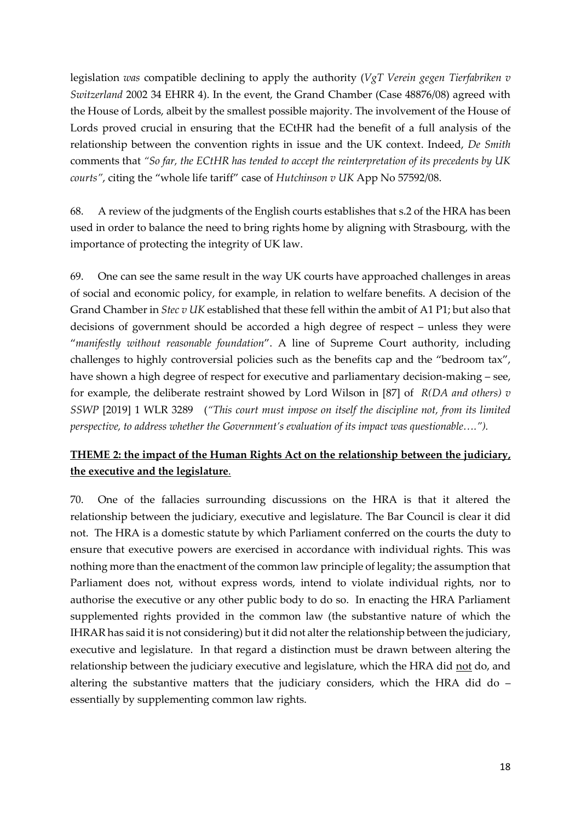legislation *was* compatible declining to apply the authority (*VgT Verein gegen Tierfabriken v Switzerland* 2002 34 EHRR 4). In the event, the Grand Chamber (Case 48876/08) agreed with the House of Lords, albeit by the smallest possible majority. The involvement of the House of Lords proved crucial in ensuring that the ECtHR had the benefit of a full analysis of the relationship between the convention rights in issue and the UK context. Indeed, *De Smith* comments that *"So far, the ECtHR has tended to accept the reinterpretation of its precedents by UK courts"*, citing the "whole life tariff" case of *Hutchinson v UK* App No 57592/08.

68. A review of the judgments of the English courts establishes that s.2 of the HRA has been used in order to balance the need to bring rights home by aligning with Strasbourg, with the importance of protecting the integrity of UK law.

69. One can see the same result in the way UK courts have approached challenges in areas of social and economic policy, for example, in relation to welfare benefits. A decision of the Grand Chamber in *Stec v UK* established that these fell within the ambit of A1 P1; but also that decisions of government should be accorded a high degree of respect – unless they were "*manifestly without reasonable foundation*". A line of Supreme Court authority, including challenges to highly controversial policies such as the benefits cap and the "bedroom tax", have shown a high degree of respect for executive and parliamentary decision-making – see, for example, the deliberate restraint showed by Lord Wilson in [87] of *R(DA and others) v SSWP* [2019] 1 WLR 3289 (*"This court must impose on itself the discipline not, from its limited perspective, to address whether the Government's evaluation of its impact was questionable….").*

# **THEME 2: the impact of the Human Rights Act on the relationship between the judiciary, the executive and the legislature**.

70. One of the fallacies surrounding discussions on the HRA is that it altered the relationship between the judiciary, executive and legislature. The Bar Council is clear it did not. The HRA is a domestic statute by which Parliament conferred on the courts the duty to ensure that executive powers are exercised in accordance with individual rights. This was nothing more than the enactment of the common law principle of legality; the assumption that Parliament does not, without express words, intend to violate individual rights, nor to authorise the executive or any other public body to do so. In enacting the HRA Parliament supplemented rights provided in the common law (the substantive nature of which the IHRAR has said it is not considering) but it did not alter the relationship between the judiciary, executive and legislature. In that regard a distinction must be drawn between altering the relationship between the judiciary executive and legislature, which the HRA did not do, and altering the substantive matters that the judiciary considers, which the HRA did do – essentially by supplementing common law rights.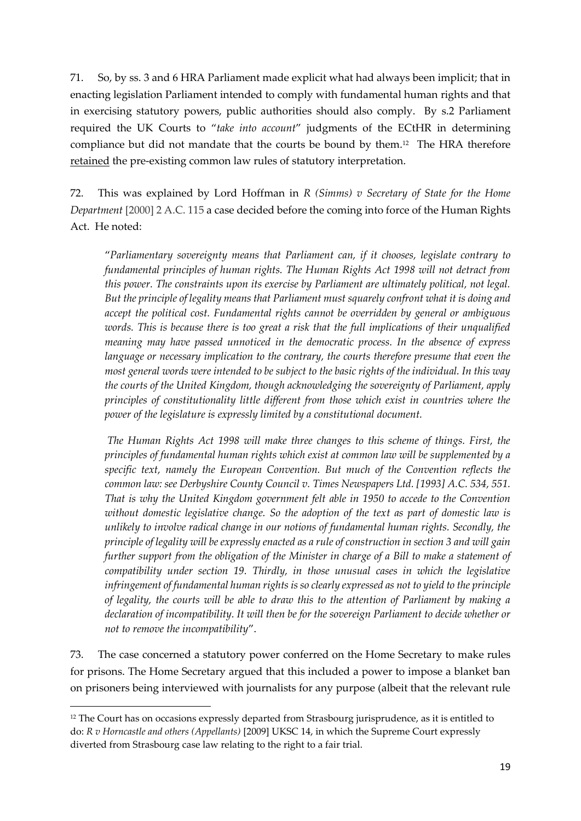71. So, by ss. 3 and 6 HRA Parliament made explicit what had always been implicit; that in enacting legislation Parliament intended to comply with fundamental human rights and that in exercising statutory powers, public authorities should also comply. By s.2 Parliament required the UK Courts to "*take into account*" judgments of the ECtHR in determining compliance but did not mandate that the courts be bound by them.<sup>12</sup> The HRA therefore retained the pre-existing common law rules of statutory interpretation.

72. This was explained by Lord Hoffman in *R (Simms) v Secretary of State for the Home Department* [2000] 2 A.C. 115 a case decided before the coming into force of the Human Rights Act. He noted:

"*Parliamentary sovereignty means that Parliament can, if it chooses, legislate contrary to fundamental principles of human rights. The Human Rights Act 1998 will not detract from this power. The constraints upon its exercise by Parliament are ultimately political, not legal. But the principle of legality means that Parliament must squarely confront what it is doing and accept the political cost. Fundamental rights cannot be overridden by general or ambiguous words. This is because there is too great a risk that the full implications of their unqualified meaning may have passed unnoticed in the democratic process. In the absence of express language or necessary implication to the contrary, the courts therefore presume that even the most general words were intended to be subject to the basic rights of the individual. In this way the courts of the United Kingdom, though acknowledging the sovereignty of Parliament, apply principles of constitutionality little different from those which exist in countries where the power of the legislature is expressly limited by a constitutional document.*

 *The Human Rights Act 1998 will make three changes to this scheme of things. First, the principles of fundamental human rights which exist at common law will be supplemented by a specific text, namely the European Convention. But much of the Convention reflects the common law: see Derbyshire County Council v. Times Newspapers Ltd. [1993] A.C. 534, 551. That is why the United Kingdom government felt able in 1950 to accede to the Convention without domestic legislative change. So the adoption of the text as part of domestic law is unlikely to involve radical change in our notions of fundamental human rights. Secondly, the principle of legality will be expressly enacted as a rule of construction in section 3 and will gain further support from the obligation of the Minister in charge of a Bill to make a statement of compatibility under section 19. Thirdly, in those unusual cases in which the legislative infringement of fundamental human rights is so clearly expressed as not to yield to the principle of legality, the courts will be able to draw this to the attention of Parliament by making a declaration of incompatibility. It will then be for the sovereign Parliament to decide whether or not to remove the incompatibility*".

73. The case concerned a statutory power conferred on the Home Secretary to make rules for prisons. The Home Secretary argued that this included a power to impose a blanket ban on prisoners being interviewed with journalists for any purpose (albeit that the relevant rule

<sup>&</sup>lt;sup>12</sup> The Court has on occasions expressly departed from Strasbourg jurisprudence, as it is entitled to do: *R v Horncastle and others (Appellants)* [2009] UKSC 14, in which the Supreme Court expressly diverted from Strasbourg case law relating to the right to a fair trial.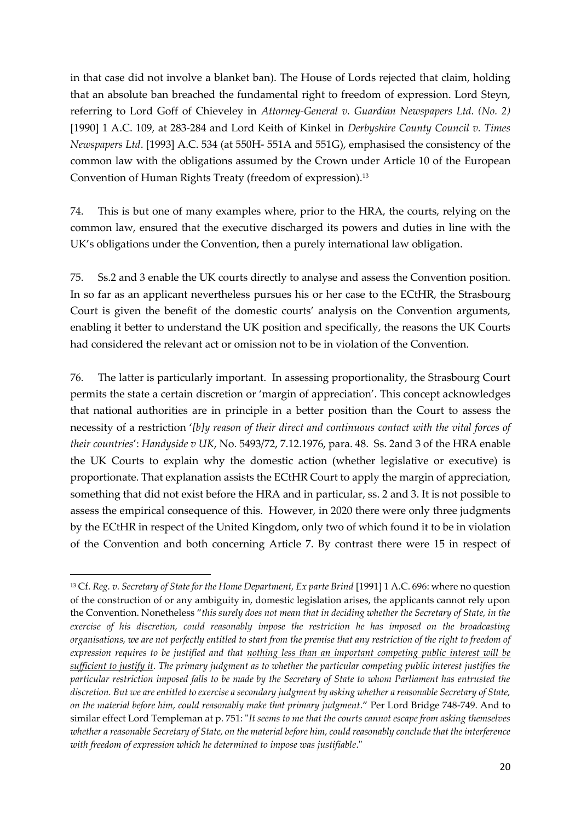in that case did not involve a blanket ban). The House of Lords rejected that claim, holding that an absolute ban breached the fundamental right to freedom of expression. Lord Steyn, referring to Lord Goff of Chieveley in *Attorney-General v. Guardian Newspapers Ltd. (No. 2)* [1990] 1 A.C. 109, at 283-284 and Lord Keith of Kinkel in *Derbyshire County Council v. Times Newspapers Ltd*. [1993] A.C. 534 (at 550H- 551A and 551G), emphasised the consistency of the common law with the obligations assumed by the Crown under Article 10 of the European Convention of Human Rights Treaty (freedom of expression).<sup>13</sup>

74. This is but one of many examples where, prior to the HRA, the courts, relying on the common law, ensured that the executive discharged its powers and duties in line with the UK's obligations under the Convention, then a purely international law obligation.

75. Ss.2 and 3 enable the UK courts directly to analyse and assess the Convention position. In so far as an applicant nevertheless pursues his or her case to the ECtHR, the Strasbourg Court is given the benefit of the domestic courts' analysis on the Convention arguments, enabling it better to understand the UK position and specifically, the reasons the UK Courts had considered the relevant act or omission not to be in violation of the Convention.

76. The latter is particularly important. In assessing proportionality, the Strasbourg Court permits the state a certain discretion or 'margin of appreciation'. This concept acknowledges that national authorities are in principle in a better position than the Court to assess the necessity of a restriction '*[b]y reason of their direct and continuous contact with the vital forces of their countries*': *Handyside v UK*, No. 5493/72, 7.12.1976, para. 48. Ss. 2and 3 of the HRA enable the UK Courts to explain why the domestic action (whether legislative or executive) is proportionate. That explanation assists the ECtHR Court to apply the margin of appreciation, something that did not exist before the HRA and in particular, ss. 2 and 3. It is not possible to assess the empirical consequence of this. However, in 2020 there were only three judgments by the ECtHR in respect of the United Kingdom, only two of which found it to be in violation of the Convention and both concerning Article 7. By contrast there were 15 in respect of

<sup>13</sup> Cf. *Reg. v. Secretary of State for the Home Department, Ex parte Brind* [1991] 1 A.C. 696: where no question of the construction of or any ambiguity in, domestic legislation arises, the applicants cannot rely upon the Convention. Nonetheless "*this surely does not mean that in deciding whether the Secretary of State, in the exercise of his discretion, could reasonably impose the restriction he has imposed on the broadcasting organisations, we are not perfectly entitled to start from the premise that any restriction of the right to freedom of expression requires to be justified and that nothing less than an important competing public interest will be sufficient to justify it. The primary judgment as to whether the particular competing public interest justifies the particular restriction imposed falls to be made by the Secretary of State to whom Parliament has entrusted the discretion. But we are entitled to exercise a secondary judgment by asking whether a reasonable Secretary of State, on the material before him, could reasonably make that primary judgment*." Per Lord Bridge 748-749. And to similar effect Lord Templeman at p. 751: "*It seems to me that the courts cannot escape from asking themselves whether a reasonable Secretary of State, on the material before him, could reasonably conclude that the interference with freedom of expression which he determined to impose was justifiable*."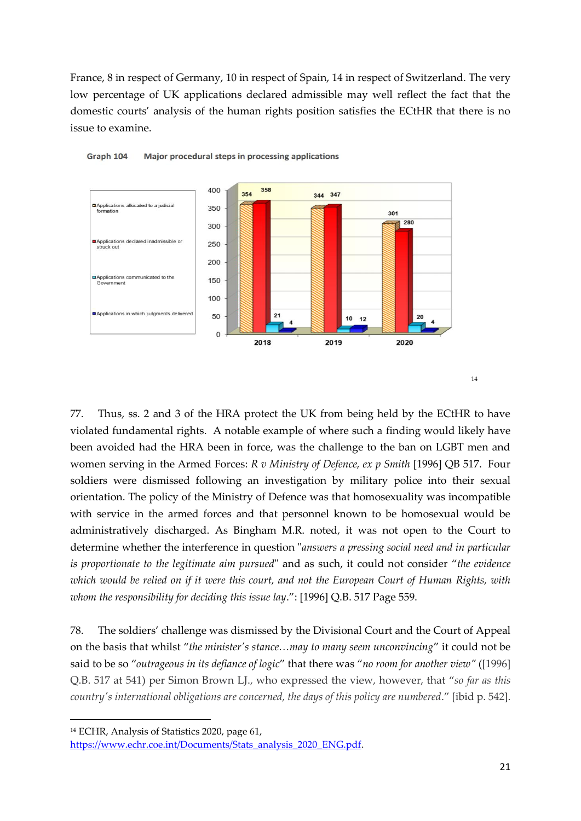France, 8 in respect of Germany, 10 in respect of Spain, 14 in respect of Switzerland. The very low percentage of UK applications declared admissible may well reflect the fact that the domestic courts' analysis of the human rights position satisfies the ECtHR that there is no issue to examine.





77. Thus, ss. 2 and 3 of the HRA protect the UK from being held by the ECtHR to have violated fundamental rights. A notable example of where such a finding would likely have been avoided had the HRA been in force, was the challenge to the ban on LGBT men and women serving in the Armed Forces: *R v Ministry of Defence, ex p Smith* [1996] QB 517. Four soldiers were dismissed following an investigation by military police into their sexual orientation. The policy of the Ministry of Defence was that homosexuality was incompatible with service in the armed forces and that personnel known to be homosexual would be administratively discharged. As Bingham M.R. noted, it was not open to the Court to determine whether the interference in question "*answers a pressing social need and in particular is proportionate to the legitimate aim pursued*" and as such, it could not consider "*the evidence which would be relied on if it were this court, and not the European Court of Human Rights, with whom the responsibility for deciding this issue lay*.": [1996] Q.B. 517 Page 559.

78. The soldiers' challenge was dismissed by the Divisional Court and the Court of Appeal on the basis that whilst "*the minister's stance…may to many seem unconvincing*" it could not be said to be so "*outrageous in its defiance of logic*" that there was "*no room for another view"* ([1996] Q.B. 517 at 541) per Simon Brown LJ., who expressed the view, however, that "*so far as this country's international obligations are concerned, the days of this policy are numbered*." [ibid p. 542].

<sup>14</sup> ECHR, Analysis of Statistics 2020, page 61,

[https://www.echr.coe.int/Documents/Stats\\_analysis\\_2020\\_ENG.pdf.](https://www.echr.coe.int/Documents/Stats_analysis_2020_ENG.pdf)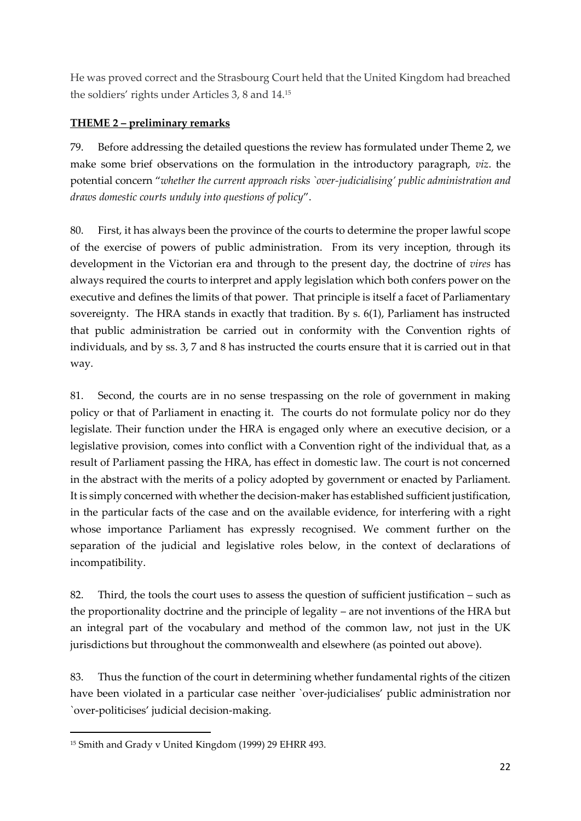He was proved correct and the Strasbourg Court held that the United Kingdom had breached the soldiers' rights under Articles 3, 8 and 14.<sup>15</sup>

## **THEME 2 – preliminary remarks**

79. Before addressing the detailed questions the review has formulated under Theme 2, we make some brief observations on the formulation in the introductory paragraph, *viz*. the potential concern "*whether the current approach risks `over-judicialising' public administration and draws domestic courts unduly into questions of policy*".

80. First, it has always been the province of the courts to determine the proper lawful scope of the exercise of powers of public administration. From its very inception, through its development in the Victorian era and through to the present day, the doctrine of *vires* has always required the courts to interpret and apply legislation which both confers power on the executive and defines the limits of that power. That principle is itself a facet of Parliamentary sovereignty. The HRA stands in exactly that tradition. By s. 6(1), Parliament has instructed that public administration be carried out in conformity with the Convention rights of individuals, and by ss. 3, 7 and 8 has instructed the courts ensure that it is carried out in that way.

81. Second, the courts are in no sense trespassing on the role of government in making policy or that of Parliament in enacting it. The courts do not formulate policy nor do they legislate. Their function under the HRA is engaged only where an executive decision, or a legislative provision, comes into conflict with a Convention right of the individual that, as a result of Parliament passing the HRA, has effect in domestic law. The court is not concerned in the abstract with the merits of a policy adopted by government or enacted by Parliament. It is simply concerned with whether the decision-maker has established sufficient justification, in the particular facts of the case and on the available evidence, for interfering with a right whose importance Parliament has expressly recognised. We comment further on the separation of the judicial and legislative roles below, in the context of declarations of incompatibility.

82. Third, the tools the court uses to assess the question of sufficient justification – such as the proportionality doctrine and the principle of legality – are not inventions of the HRA but an integral part of the vocabulary and method of the common law, not just in the UK jurisdictions but throughout the commonwealth and elsewhere (as pointed out above).

83. Thus the function of the court in determining whether fundamental rights of the citizen have been violated in a particular case neither `over-judicialises' public administration nor `over-politicises' judicial decision-making.

<sup>15</sup> Smith and Grady v United Kingdom (1999) 29 EHRR 493.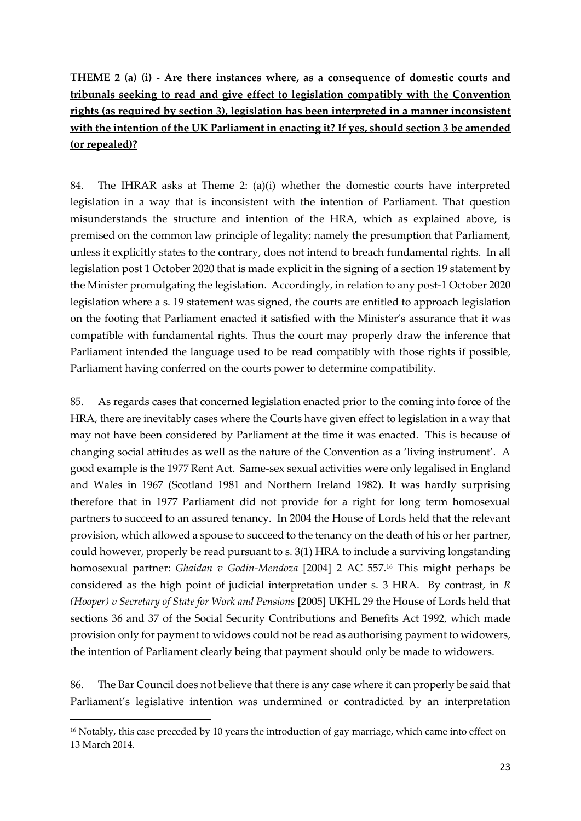**THEME 2 (a) (i) - Are there instances where, as a consequence of domestic courts and tribunals seeking to read and give effect to legislation compatibly with the Convention rights (as required by section 3), legislation has been interpreted in a manner inconsistent with the intention of the UK Parliament in enacting it? If yes, should section 3 be amended (or repealed)?**

84. The IHRAR asks at Theme 2: (a)(i) whether the domestic courts have interpreted legislation in a way that is inconsistent with the intention of Parliament. That question misunderstands the structure and intention of the HRA, which as explained above, is premised on the common law principle of legality; namely the presumption that Parliament, unless it explicitly states to the contrary, does not intend to breach fundamental rights. In all legislation post 1 October 2020 that is made explicit in the signing of a section 19 statement by the Minister promulgating the legislation. Accordingly, in relation to any post-1 October 2020 legislation where a s. 19 statement was signed, the courts are entitled to approach legislation on the footing that Parliament enacted it satisfied with the Minister's assurance that it was compatible with fundamental rights. Thus the court may properly draw the inference that Parliament intended the language used to be read compatibly with those rights if possible, Parliament having conferred on the courts power to determine compatibility.

85. As regards cases that concerned legislation enacted prior to the coming into force of the HRA, there are inevitably cases where the Courts have given effect to legislation in a way that may not have been considered by Parliament at the time it was enacted. This is because of changing social attitudes as well as the nature of the Convention as a 'living instrument'. A good example is the 1977 Rent Act. Same-sex sexual activities were only legalised in England and Wales in 1967 (Scotland 1981 and Northern Ireland 1982). It was hardly surprising therefore that in 1977 Parliament did not provide for a right for long term homosexual partners to succeed to an assured tenancy. In 2004 the House of Lords held that the relevant provision, which allowed a spouse to succeed to the tenancy on the death of his or her partner, could however, properly be read pursuant to s. 3(1) HRA to include a surviving longstanding homosexual partner: *Ghaidan v Godin-Mendoza* [2004] 2 AC 557.<sup>16</sup> This might perhaps be considered as the high point of judicial interpretation under s. 3 HRA. By contrast, in *R (Hooper) v Secretary of State for Work and Pensions* [2005] UKHL 29 the House of Lords held that sections 36 and 37 of the Social Security Contributions and Benefits Act 1992, which made provision only for payment to widows could not be read as authorising payment to widowers, the intention of Parliament clearly being that payment should only be made to widowers.

86. The Bar Council does not believe that there is any case where it can properly be said that Parliament's legislative intention was undermined or contradicted by an interpretation

<sup>&</sup>lt;sup>16</sup> Notably, this case preceded by 10 years the introduction of gay marriage, which came into effect on 13 March 2014.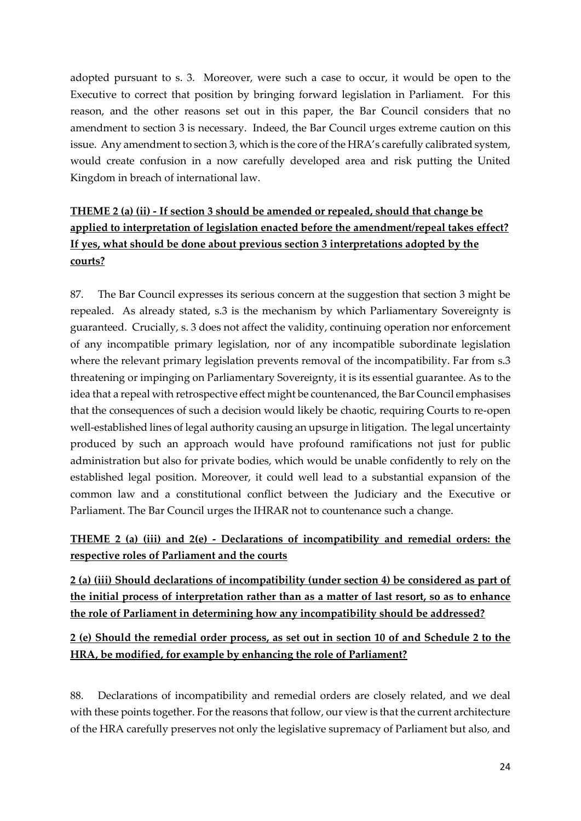adopted pursuant to s. 3. Moreover, were such a case to occur, it would be open to the Executive to correct that position by bringing forward legislation in Parliament. For this reason, and the other reasons set out in this paper, the Bar Council considers that no amendment to section 3 is necessary. Indeed, the Bar Council urges extreme caution on this issue. Any amendment to section 3, which is the core of the HRA's carefully calibrated system, would create confusion in a now carefully developed area and risk putting the United Kingdom in breach of international law.

# **THEME 2 (a) (ii) - If section 3 should be amended or repealed, should that change be applied to interpretation of legislation enacted before the amendment/repeal takes effect? If yes, what should be done about previous section 3 interpretations adopted by the courts?**

87. The Bar Council expresses its serious concern at the suggestion that section 3 might be repealed. As already stated, s.3 is the mechanism by which Parliamentary Sovereignty is guaranteed. Crucially, s. 3 does not affect the validity, continuing operation nor enforcement of any incompatible primary legislation, nor of any incompatible subordinate legislation where the relevant primary legislation prevents removal of the incompatibility. Far from s.3 threatening or impinging on Parliamentary Sovereignty, it is its essential guarantee. As to the idea that a repeal with retrospective effect might be countenanced, the Bar Council emphasises that the consequences of such a decision would likely be chaotic, requiring Courts to re-open well-established lines of legal authority causing an upsurge in litigation. The legal uncertainty produced by such an approach would have profound ramifications not just for public administration but also for private bodies, which would be unable confidently to rely on the established legal position. Moreover, it could well lead to a substantial expansion of the common law and a constitutional conflict between the Judiciary and the Executive or Parliament. The Bar Council urges the IHRAR not to countenance such a change.

# **THEME 2 (a) (iii) and 2(e) - Declarations of incompatibility and remedial orders: the respective roles of Parliament and the courts**

**2 (a) (iii) Should declarations of incompatibility (under section 4) be considered as part of the initial process of interpretation rather than as a matter of last resort, so as to enhance the role of Parliament in determining how any incompatibility should be addressed?**

# **2 (e) Should the remedial order process, as set out in section 10 of and Schedule 2 to the HRA, be modified, for example by enhancing the role of Parliament?**

88. Declarations of incompatibility and remedial orders are closely related, and we deal with these points together. For the reasons that follow, our view is that the current architecture of the HRA carefully preserves not only the legislative supremacy of Parliament but also, and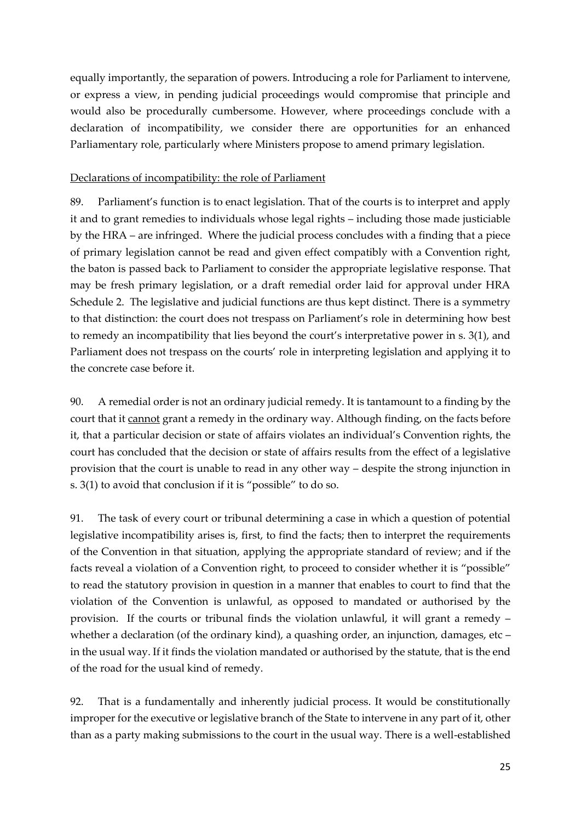equally importantly, the separation of powers. Introducing a role for Parliament to intervene, or express a view, in pending judicial proceedings would compromise that principle and would also be procedurally cumbersome. However, where proceedings conclude with a declaration of incompatibility, we consider there are opportunities for an enhanced Parliamentary role, particularly where Ministers propose to amend primary legislation.

#### Declarations of incompatibility: the role of Parliament

89. Parliament's function is to enact legislation. That of the courts is to interpret and apply it and to grant remedies to individuals whose legal rights – including those made justiciable by the HRA – are infringed. Where the judicial process concludes with a finding that a piece of primary legislation cannot be read and given effect compatibly with a Convention right, the baton is passed back to Parliament to consider the appropriate legislative response. That may be fresh primary legislation, or a draft remedial order laid for approval under HRA Schedule 2. The legislative and judicial functions are thus kept distinct. There is a symmetry to that distinction: the court does not trespass on Parliament's role in determining how best to remedy an incompatibility that lies beyond the court's interpretative power in s. 3(1), and Parliament does not trespass on the courts' role in interpreting legislation and applying it to the concrete case before it.

90. A remedial order is not an ordinary judicial remedy. It is tantamount to a finding by the court that it cannot grant a remedy in the ordinary way. Although finding, on the facts before it, that a particular decision or state of affairs violates an individual's Convention rights, the court has concluded that the decision or state of affairs results from the effect of a legislative provision that the court is unable to read in any other way – despite the strong injunction in s. 3(1) to avoid that conclusion if it is "possible" to do so.

91. The task of every court or tribunal determining a case in which a question of potential legislative incompatibility arises is, first, to find the facts; then to interpret the requirements of the Convention in that situation, applying the appropriate standard of review; and if the facts reveal a violation of a Convention right, to proceed to consider whether it is "possible" to read the statutory provision in question in a manner that enables to court to find that the violation of the Convention is unlawful, as opposed to mandated or authorised by the provision. If the courts or tribunal finds the violation unlawful, it will grant a remedy – whether a declaration (of the ordinary kind), a quashing order, an injunction, damages, etc – in the usual way. If it finds the violation mandated or authorised by the statute, that is the end of the road for the usual kind of remedy.

92. That is a fundamentally and inherently judicial process. It would be constitutionally improper for the executive or legislative branch of the State to intervene in any part of it, other than as a party making submissions to the court in the usual way. There is a well-established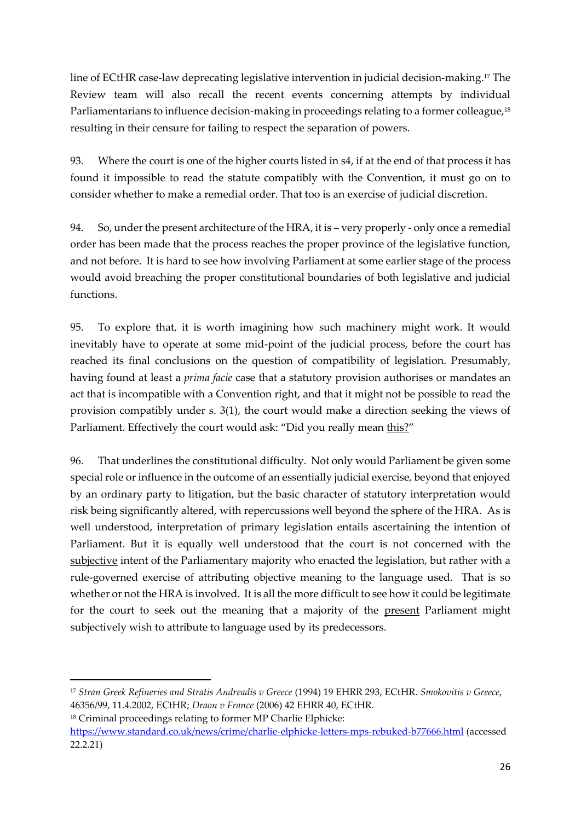line of ECtHR case-law deprecating legislative intervention in judicial decision-making.<sup>17</sup> The Review team will also recall the recent events concerning attempts by individual Parliamentarians to influence decision-making in proceedings relating to a former colleague,<sup>18</sup> resulting in their censure for failing to respect the separation of powers.

93. Where the court is one of the higher courts listed in s4, if at the end of that process it has found it impossible to read the statute compatibly with the Convention, it must go on to consider whether to make a remedial order. That too is an exercise of judicial discretion.

94. So, under the present architecture of the HRA, it is – very properly - only once a remedial order has been made that the process reaches the proper province of the legislative function, and not before. It is hard to see how involving Parliament at some earlier stage of the process would avoid breaching the proper constitutional boundaries of both legislative and judicial functions.

95. To explore that, it is worth imagining how such machinery might work. It would inevitably have to operate at some mid-point of the judicial process, before the court has reached its final conclusions on the question of compatibility of legislation. Presumably, having found at least a *prima facie* case that a statutory provision authorises or mandates an act that is incompatible with a Convention right, and that it might not be possible to read the provision compatibly under s. 3(1), the court would make a direction seeking the views of Parliament. Effectively the court would ask: "Did you really mean this?"

96. That underlines the constitutional difficulty. Not only would Parliament be given some special role or influence in the outcome of an essentially judicial exercise, beyond that enjoyed by an ordinary party to litigation, but the basic character of statutory interpretation would risk being significantly altered, with repercussions well beyond the sphere of the HRA. As is well understood, interpretation of primary legislation entails ascertaining the intention of Parliament. But it is equally well understood that the court is not concerned with the subjective intent of the Parliamentary majority who enacted the legislation, but rather with a rule-governed exercise of attributing objective meaning to the language used. That is so whether or not the HRA is involved. It is all the more difficult to see how it could be legitimate for the court to seek out the meaning that a majority of the present Parliament might subjectively wish to attribute to language used by its predecessors.

<sup>17</sup> *Stran Greek Refineries and Stratis Andreadis v Greece* (1994) 19 EHRR 293, ECtHR. *Smokovitis v Greece*, 46356/99, 11.4.2002, ECtHR; *Draon v France* (2006) 42 EHRR 40, ECtHR.

<sup>18</sup> Criminal proceedings relating to former MP Charlie Elphicke: <https://www.standard.co.uk/news/crime/charlie-elphicke-letters-mps-rebuked-b77666.html> (accessed 22.2.21)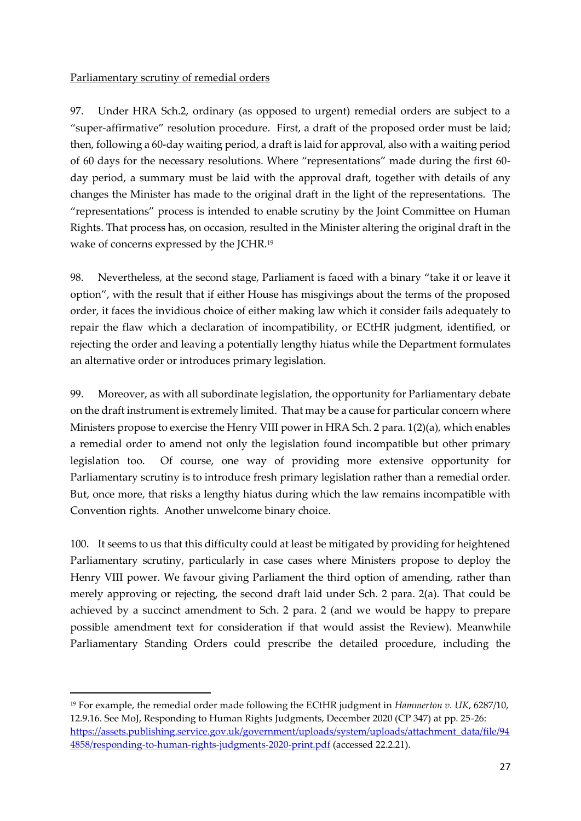### Parliamentary scrutiny of remedial orders

97. Under HRA Sch.2, ordinary (as opposed to urgent) remedial orders are subject to a "super-affirmative" resolution procedure. First, a draft of the proposed order must be laid; then, following a 60-day waiting period, a draft is laid for approval, also with a waiting period of 60 days for the necessary resolutions. Where "representations" made during the first 60 day period, a summary must be laid with the approval draft, together with details of any changes the Minister has made to the original draft in the light of the representations. The "representations" process is intended to enable scrutiny by the Joint Committee on Human Rights. That process has, on occasion, resulted in the Minister altering the original draft in the wake of concerns expressed by the JCHR.<sup>19</sup>

98. Nevertheless, at the second stage, Parliament is faced with a binary "take it or leave it option", with the result that if either House has misgivings about the terms of the proposed order, it faces the invidious choice of either making law which it consider fails adequately to repair the flaw which a declaration of incompatibility, or ECtHR judgment, identified, or rejecting the order and leaving a potentially lengthy hiatus while the Department formulates an alternative order or introduces primary legislation.

99. Moreover, as with all subordinate legislation, the opportunity for Parliamentary debate on the draft instrument is extremely limited. That may be a cause for particular concern where Ministers propose to exercise the Henry VIII power in HRA Sch. 2 para. 1(2)(a), which enables a remedial order to amend not only the legislation found incompatible but other primary legislation too. Of course, one way of providing more extensive opportunity for Parliamentary scrutiny is to introduce fresh primary legislation rather than a remedial order. But, once more, that risks a lengthy hiatus during which the law remains incompatible with Convention rights. Another unwelcome binary choice.

100. It seems to us that this difficulty could at least be mitigated by providing for heightened Parliamentary scrutiny, particularly in case cases where Ministers propose to deploy the Henry VIII power. We favour giving Parliament the third option of amending, rather than merely approving or rejecting, the second draft laid under Sch. 2 para. 2(a). That could be achieved by a succinct amendment to Sch. 2 para. 2 (and we would be happy to prepare possible amendment text for consideration if that would assist the Review). Meanwhile Parliamentary Standing Orders could prescribe the detailed procedure, including the

<sup>19</sup> For example, the remedial order made following the ECtHR judgment in *Hammerton v. UK*, 6287/10, 12.9.16. See MoJ, Responding to Human Rights Judgments, December 2020 (CP 347) at pp. 25-26: [https://assets.publishing.service.gov.uk/government/uploads/system/uploads/attachment\\_data/file/94](https://assets.publishing.service.gov.uk/government/uploads/system/uploads/attachment_data/file/944858/responding-to-human-rights-judgments-2020-print.pdf) [4858/responding-to-human-rights-judgments-2020-print.pdf](https://assets.publishing.service.gov.uk/government/uploads/system/uploads/attachment_data/file/944858/responding-to-human-rights-judgments-2020-print.pdf) (accessed 22.2.21).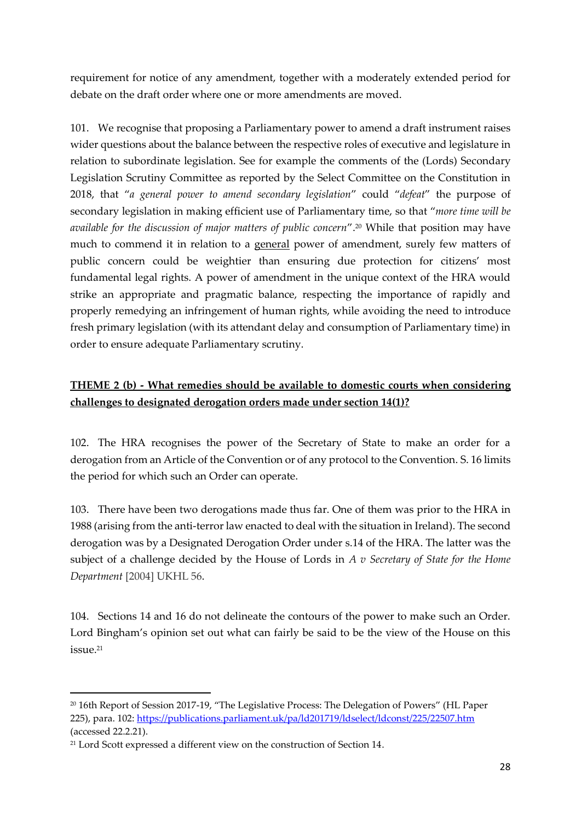requirement for notice of any amendment, together with a moderately extended period for debate on the draft order where one or more amendments are moved.

101. We recognise that proposing a Parliamentary power to amend a draft instrument raises wider questions about the balance between the respective roles of executive and legislature in relation to subordinate legislation. See for example the comments of the (Lords) Secondary Legislation Scrutiny Committee as reported by the Select Committee on the Constitution in 2018, that "*a general power to amend secondary legislation*" could "*defeat*" the purpose of secondary legislation in making efficient use of Parliamentary time, so that "*more time will be available for the discussion of major matters of public concern*".<sup>20</sup> While that position may have much to commend it in relation to a general power of amendment, surely few matters of public concern could be weightier than ensuring due protection for citizens' most fundamental legal rights. A power of amendment in the unique context of the HRA would strike an appropriate and pragmatic balance, respecting the importance of rapidly and properly remedying an infringement of human rights, while avoiding the need to introduce fresh primary legislation (with its attendant delay and consumption of Parliamentary time) in order to ensure adequate Parliamentary scrutiny.

# **THEME 2 (b) - What remedies should be available to domestic courts when considering challenges to designated derogation orders made under section 14(1)?**

102. The HRA recognises the power of the Secretary of State to make an order for a derogation from an Article of the Convention or of any protocol to the Convention. S. 16 limits the period for which such an Order can operate.

103. There have been two derogations made thus far. One of them was prior to the HRA in 1988 (arising from the anti-terror law enacted to deal with the situation in Ireland). The second derogation was by a Designated Derogation Order under s.14 of the HRA. The latter was the subject of a challenge decided by the House of Lords in *A v Secretary of State for the Home Department* [2004] UKHL 56.

104. Sections 14 and 16 do not delineate the contours of the power to make such an Order. Lord Bingham's opinion set out what can fairly be said to be the view of the House on this issue. 21

<sup>20</sup> 16th Report of Session 2017-19, "The Legislative Process: The Delegation of Powers" (HL Paper 225), para. 102:<https://publications.parliament.uk/pa/ld201719/ldselect/ldconst/225/22507.htm> (accessed 22.2.21).

<sup>&</sup>lt;sup>21</sup> Lord Scott expressed a different view on the construction of Section 14.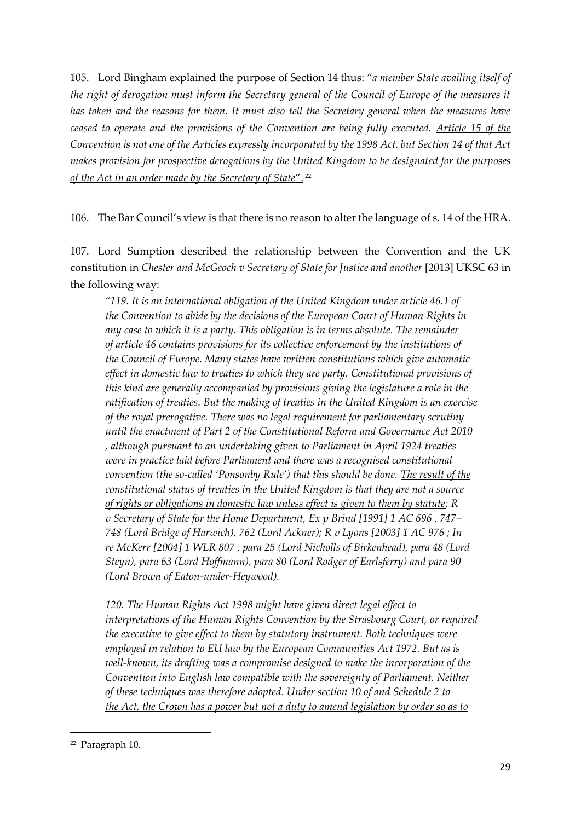105. Lord Bingham explained the purpose of Section 14 thus: "*a member State availing itself of the right of derogation must inform the Secretary general of the Council of Europe of the measures it has taken and the reasons for them. It must also tell the Secretary general when the measures have ceased to operate and the provisions of the Convention are being fully executed. Article 15 of the Convention is not one of the Articles expressly incorporated by the 1998 Act, but Section 14 of that Act makes provision for prospective derogations by the United Kingdom to be designated for the purposes of the Act in an order made by the Secretary of State*". <sup>22</sup>

106. The Bar Council's view is that there is no reason to alter the language of s. 14 of the HRA.

107. Lord Sumption described the relationship between the Convention and the UK constitution in *Chester and McGeoch v Secretary of State for Justice and another* [2013] UKSC 63 in the following way:

*"119. It is an international obligation of the United Kingdom under article 46.1 of the Convention to abide by the decisions of the European Court of Human Rights in any case to which it is a party. This obligation is in terms absolute. The remainder of article 46 contains provisions for its collective enforcement by the institutions of the Council of Europe. Many states have written constitutions which give automatic effect in domestic law to treaties to which they are party. Constitutional provisions of this kind are generally accompanied by provisions giving the legislature a role in the ratification of treaties. But the making of treaties in the United Kingdom is an exercise of the royal prerogative. There was no legal requirement for parliamentary scrutiny until the enactment of Part 2 of the Constitutional Reform and Governance Act 2010 , although pursuant to an undertaking given to Parliament in April 1924 treaties were in practice laid before Parliament and there was a recognised constitutional convention (the so-called 'Ponsonby Rule') that this should be done. The result of the constitutional status of treaties in the United Kingdom is that they are not a source of rights or obligations in domestic law unless effect is given to them by statute: R v Secretary of State for the Home Department, Ex p Brind [1991] 1 AC 696 , 747– 748 (Lord Bridge of Harwich), 762 (Lord Ackner); R v Lyons [2003] 1 AC 976 ; In re McKerr [2004] 1 WLR 807 , para 25 (Lord Nicholls of Birkenhead), para 48 (Lord Steyn), para 63 (Lord Hoffmann), para 80 (Lord Rodger of Earlsferry) and para 90 (Lord Brown of Eaton-under-Heywood).* 

*120. The Human Rights Act 1998 might have given direct legal effect to interpretations of the Human Rights Convention by the Strasbourg Court, or required the executive to give effect to them by statutory instrument. Both techniques were employed in relation to EU law by the European Communities Act 1972. But as is well-known, its drafting was a compromise designed to make the incorporation of the Convention into English law compatible with the sovereignty of Parliament. Neither of these techniques was therefore adopted. Under section 10 of and Schedule 2 to the Act, the Crown has a power but not a duty to amend legislation by order so as to*

<sup>22</sup> Paragraph 10.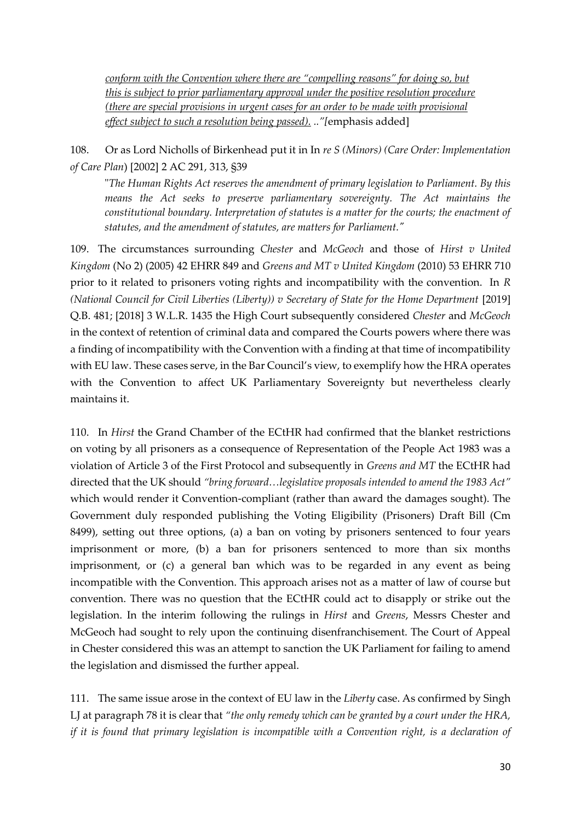*conform with the Convention where there are "compelling reasons" for doing so, but this is subject to prior parliamentary approval under the positive resolution procedure (there are special provisions in urgent cases for an order to be made with provisional effect subject to such a resolution being passed). .."[*emphasis added]

108. Or as Lord Nicholls of Birkenhead put it in In *re S (Minors) (Care Order: Implementation of Care Plan*) [2002] 2 AC 291, 313, §39

"*The Human Rights Act reserves the amendment of primary legislation to Parliament. By this means the Act seeks to preserve parliamentary sovereignty. The Act maintains the constitutional boundary. Interpretation of statutes is a matter for the courts; the enactment of statutes, and the amendment of statutes, are matters for Parliament."*

109. The circumstances surrounding *Chester* and *McGeoch* and those of *Hirst v United Kingdom* (No 2) (2005) 42 EHRR 849 and *Greens and MT v United Kingdom* (2010) 53 EHRR 710 prior to it related to prisoners voting rights and incompatibility with the convention. In *R (National Council for Civil Liberties (Liberty)) v Secretary of State for the Home Department* [2019] Q.B. 481; [2018] 3 W.L.R. 1435 the High Court subsequently considered *Chester* and *McGeoch* in the context of retention of criminal data and compared the Courts powers where there was a finding of incompatibility with the Convention with a finding at that time of incompatibility with EU law. These cases serve, in the Bar Council's view, to exemplify how the HRA operates with the Convention to affect UK Parliamentary Sovereignty but nevertheless clearly maintains it.

110. In *Hirst* the Grand Chamber of the ECtHR had confirmed that the blanket restrictions on voting by all prisoners as a consequence of Representation of the People Act 1983 was a violation of Article 3 of the First Protocol and subsequently in *Greens and MT* the ECtHR had directed that the UK should *"bring forward…legislative proposals intended to amend the 1983 Act"* which would render it Convention-compliant (rather than award the damages sought). The Government duly responded publishing the Voting Eligibility (Prisoners) Draft Bill (Cm 8499), setting out three options, (a) a ban on voting by prisoners sentenced to four years imprisonment or more, (b) a ban for prisoners sentenced to more than six months imprisonment, or (c) a general ban which was to be regarded in any event as being incompatible with the Convention. This approach arises not as a matter of law of course but convention. There was no question that the ECtHR could act to disapply or strike out the legislation. In the interim following the rulings in *Hirst* and *Greens*, Messrs Chester and McGeoch had sought to rely upon the continuing disenfranchisement. The Court of Appeal in Chester considered this was an attempt to sanction the UK Parliament for failing to amend the legislation and dismissed the further appeal.

111. The same issue arose in the context of EU law in the *Liberty* case. As confirmed by Singh LJ at paragraph 78 it is clear that *"the only remedy which can be granted by a court under the HRA, if it is found that primary legislation is incompatible with a Convention right, is a declaration of*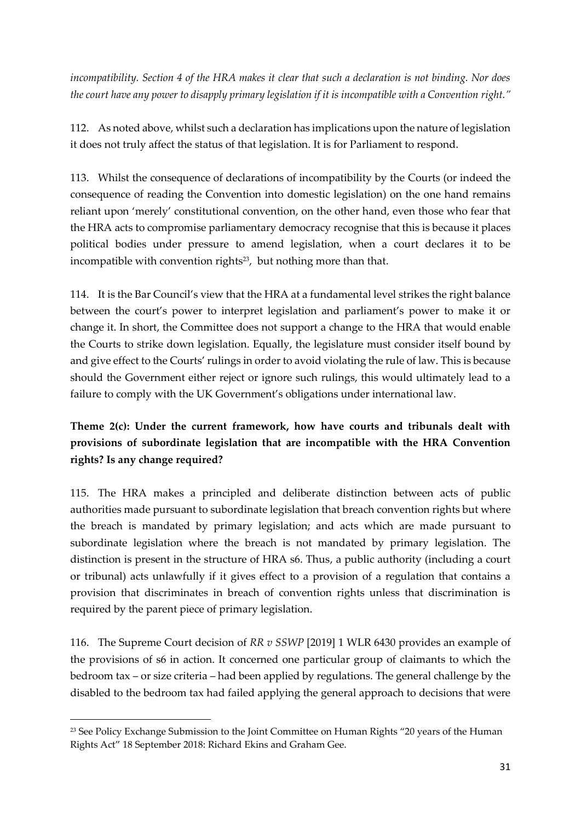*incompatibility. Section 4 of the HRA makes it clear that such a declaration is not binding. Nor does the court have any power to disapply primary legislation if it is incompatible with a Convention right."*

112. As noted above, whilst such a declaration has implications upon the nature of legislation it does not truly affect the status of that legislation. It is for Parliament to respond.

113. Whilst the consequence of declarations of incompatibility by the Courts (or indeed the consequence of reading the Convention into domestic legislation) on the one hand remains reliant upon 'merely' constitutional convention, on the other hand, even those who fear that the HRA acts to compromise parliamentary democracy recognise that this is because it places political bodies under pressure to amend legislation, when a court declares it to be incompatible with convention rights<sup>23</sup>, but nothing more than that.

114. It is the Bar Council's view that the HRA at a fundamental level strikes the right balance between the court's power to interpret legislation and parliament's power to make it or change it. In short, the Committee does not support a change to the HRA that would enable the Courts to strike down legislation. Equally, the legislature must consider itself bound by and give effect to the Courts' rulings in order to avoid violating the rule of law. This is because should the Government either reject or ignore such rulings, this would ultimately lead to a failure to comply with the UK Government's obligations under international law.

# **Theme 2(c): Under the current framework, how have courts and tribunals dealt with provisions of subordinate legislation that are incompatible with the HRA Convention rights? Is any change required?**

115. The HRA makes a principled and deliberate distinction between acts of public authorities made pursuant to subordinate legislation that breach convention rights but where the breach is mandated by primary legislation; and acts which are made pursuant to subordinate legislation where the breach is not mandated by primary legislation. The distinction is present in the structure of HRA s6. Thus, a public authority (including a court or tribunal) acts unlawfully if it gives effect to a provision of a regulation that contains a provision that discriminates in breach of convention rights unless that discrimination is required by the parent piece of primary legislation.

116. The Supreme Court decision of *RR v SSWP* [2019] 1 WLR 6430 provides an example of the provisions of s6 in action. It concerned one particular group of claimants to which the bedroom tax – or size criteria – had been applied by regulations. The general challenge by the disabled to the bedroom tax had failed applying the general approach to decisions that were

<sup>&</sup>lt;sup>23</sup> See Policy Exchange Submission to the Joint Committee on Human Rights "20 years of the Human Rights Act" 18 September 2018: Richard Ekins and Graham Gee.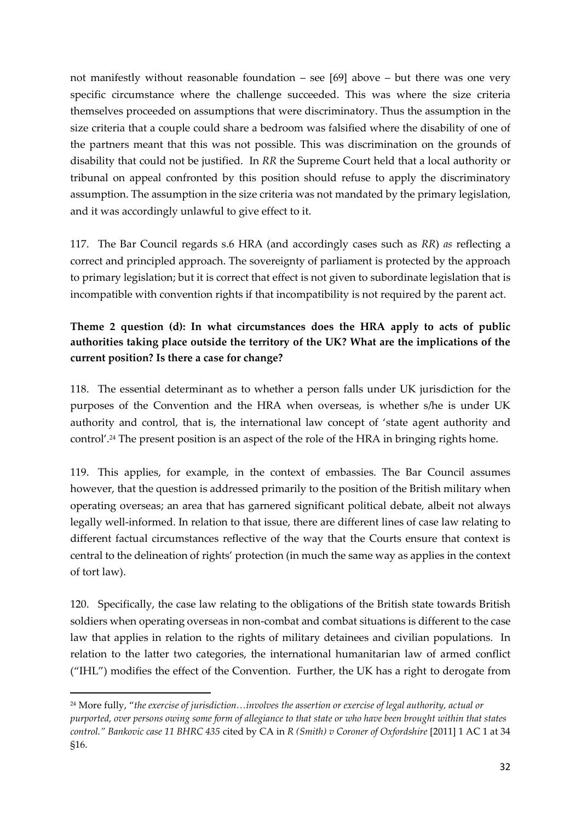not manifestly without reasonable foundation – see [69] above – but there was one very specific circumstance where the challenge succeeded. This was where the size criteria themselves proceeded on assumptions that were discriminatory. Thus the assumption in the size criteria that a couple could share a bedroom was falsified where the disability of one of the partners meant that this was not possible. This was discrimination on the grounds of disability that could not be justified. In *RR* the Supreme Court held that a local authority or tribunal on appeal confronted by this position should refuse to apply the discriminatory assumption. The assumption in the size criteria was not mandated by the primary legislation, and it was accordingly unlawful to give effect to it.

117. The Bar Council regards s.6 HRA (and accordingly cases such as *RR*) *as* reflecting a correct and principled approach. The sovereignty of parliament is protected by the approach to primary legislation; but it is correct that effect is not given to subordinate legislation that is incompatible with convention rights if that incompatibility is not required by the parent act.

# **Theme 2 question (d): In what circumstances does the HRA apply to acts of public authorities taking place outside the territory of the UK? What are the implications of the current position? Is there a case for change?**

118. The essential determinant as to whether a person falls under UK jurisdiction for the purposes of the Convention and the HRA when overseas, is whether s/he is under UK authority and control, that is, the international law concept of 'state agent authority and control'.<sup>24</sup> The present position is an aspect of the role of the HRA in bringing rights home.

119. This applies, for example, in the context of embassies. The Bar Council assumes however, that the question is addressed primarily to the position of the British military when operating overseas; an area that has garnered significant political debate, albeit not always legally well-informed. In relation to that issue, there are different lines of case law relating to different factual circumstances reflective of the way that the Courts ensure that context is central to the delineation of rights' protection (in much the same way as applies in the context of tort law).

120. Specifically, the case law relating to the obligations of the British state towards British soldiers when operating overseas in non-combat and combat situations is different to the case law that applies in relation to the rights of military detainees and civilian populations. In relation to the latter two categories, the international humanitarian law of armed conflict ("IHL") modifies the effect of the Convention. Further, the UK has a right to derogate from

<sup>24</sup> More fully, "*the exercise of jurisdiction…involves the assertion or exercise of legal authority, actual or purported, over persons owing some form of allegiance to that state or who have been brought within that states control." Bankovic case 11 BHRC 435* cited by CA in *R (Smith) v Coroner of Oxfordshire* [2011] 1 AC 1 at 34 §16.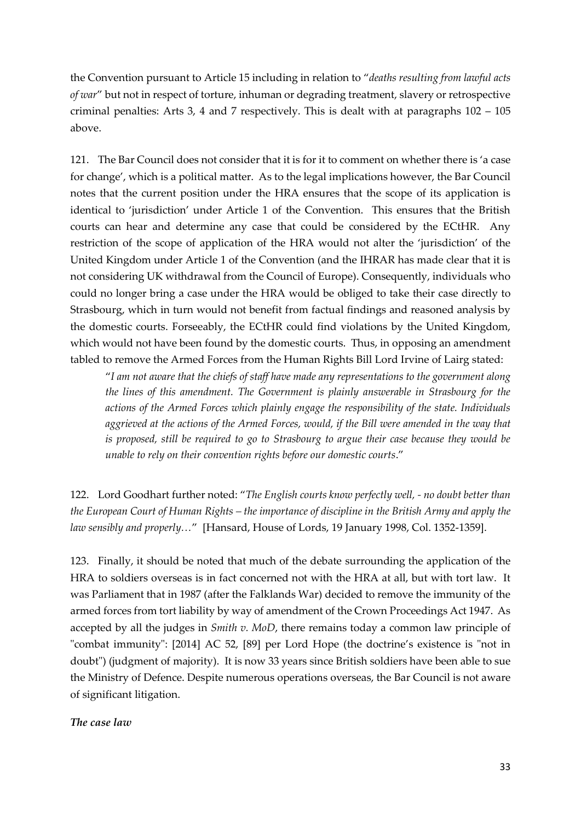the Convention pursuant to Article 15 including in relation to "*deaths resulting from lawful acts of war*" but not in respect of torture, inhuman or degrading treatment, slavery or retrospective criminal penalties: Arts 3, 4 and 7 respectively. This is dealt with at paragraphs 102 – 105 above.

121. The Bar Council does not consider that it is for it to comment on whether there is 'a case for change', which is a political matter. As to the legal implications however, the Bar Council notes that the current position under the HRA ensures that the scope of its application is identical to 'jurisdiction' under Article 1 of the Convention. This ensures that the British courts can hear and determine any case that could be considered by the ECtHR. Any restriction of the scope of application of the HRA would not alter the 'jurisdiction' of the United Kingdom under Article 1 of the Convention (and the IHRAR has made clear that it is not considering UK withdrawal from the Council of Europe). Consequently, individuals who could no longer bring a case under the HRA would be obliged to take their case directly to Strasbourg, which in turn would not benefit from factual findings and reasoned analysis by the domestic courts. Forseeably, the ECtHR could find violations by the United Kingdom, which would not have been found by the domestic courts. Thus, in opposing an amendment tabled to remove the Armed Forces from the Human Rights Bill Lord Irvine of Lairg stated:

"*I am not aware that the chiefs of staff have made any representations to the government along the lines of this amendment. The Government is plainly answerable in Strasbourg for the actions of the Armed Forces which plainly engage the responsibility of the state. Individuals aggrieved at the actions of the Armed Forces, would, if the Bill were amended in the way that is proposed, still be required to go to Strasbourg to argue their case because they would be unable to rely on their convention rights before our domestic courts*."

122. Lord Goodhart further noted: "*The English courts know perfectly well, - no doubt better than the European Court of Human Rights – the importance of discipline in the British Army and apply the law sensibly and properly…*" [Hansard, House of Lords, 19 January 1998, Col. 1352-1359].

123. Finally, it should be noted that much of the debate surrounding the application of the HRA to soldiers overseas is in fact concerned not with the HRA at all, but with tort law. It was Parliament that in 1987 (after the Falklands War) decided to remove the immunity of the armed forces from tort liability by way of amendment of the Crown Proceedings Act 1947. As accepted by all the judges in *Smith v. MoD*, there remains today a common law principle of "combat immunity": [2014] AC 52, [89] per Lord Hope (the doctrine's existence is "not in doubt") (judgment of majority). It is now 33 years since British soldiers have been able to sue the Ministry of Defence. Despite numerous operations overseas, the Bar Council is not aware of significant litigation.

### *The case law*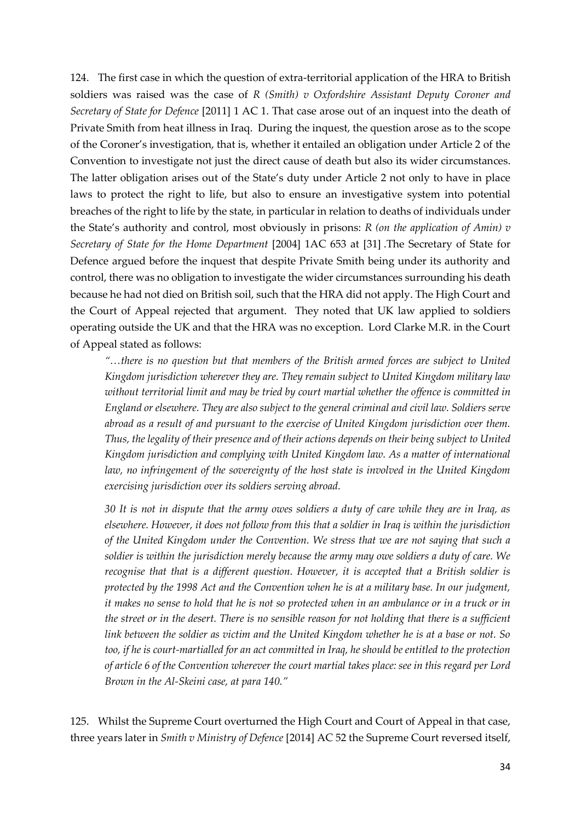124. The first case in which the question of extra-territorial application of the HRA to British soldiers was raised was the case of *R (Smith) v Oxfordshire Assistant Deputy Coroner and Secretary of State for Defence* [2011] 1 AC 1. That case arose out of an inquest into the death of Private Smith from heat illness in Iraq. During the inquest, the question arose as to the scope of the Coroner's investigation, that is, whether it entailed an obligation under Article 2 of the Convention to investigate not just the direct cause of death but also its wider circumstances. The latter obligation arises out of the State's duty under Article 2 not only to have in place laws to protect the right to life, but also to ensure an investigative system into potential breaches of the right to life by the state, in particular in relation to deaths of individuals under the State's authority and control, most obviously in prisons: *R (on the application of Amin) v Secretary of State for the Home Department* [2004] 1AC 653 at [31] .The Secretary of State for Defence argued before the inquest that despite Private Smith being under its authority and control, there was no obligation to investigate the wider circumstances surrounding his death because he had not died on British soil, such that the HRA did not apply. The High Court and the Court of Appeal rejected that argument. They noted that UK law applied to soldiers operating outside the UK and that the HRA was no exception. Lord Clarke M.R. in the Court of Appeal stated as follows:

*"…there is no question but that members of the British armed forces are subject to United Kingdom jurisdiction wherever they are. They remain subject to United Kingdom military law without territorial limit and may be tried by court martial whether the offence is committed in England or elsewhere. They are also subject to the general criminal and civil law. Soldiers serve abroad as a result of and pursuant to the exercise of United Kingdom jurisdiction over them. Thus, the legality of their presence and of their actions depends on their being subject to United Kingdom jurisdiction and complying with United Kingdom law. As a matter of international*  law, no infringement of the sovereignty of the host state is involved in the United Kingdom *exercising jurisdiction over its soldiers serving abroad.*

*30 It is not in dispute that the army owes soldiers a duty of care while they are in Iraq, as elsewhere. However, it does not follow from this that a soldier in Iraq is within the jurisdiction of the United Kingdom under the Convention. We stress that we are not saying that such a soldier is within the jurisdiction merely because the army may owe soldiers a duty of care. We recognise that that is a different question. However, it is accepted that a British soldier is protected by the 1998 Act and the Convention when he is at a military base. In our judgment, it makes no sense to hold that he is not so protected when in an ambulance or in a truck or in the street or in the desert. There is no sensible reason for not holding that there is a sufficient link between the soldier as victim and the United Kingdom whether he is at a base or not. So too, if he is court-martialled for an act committed in Iraq, he should be entitled to the protection of article 6 of the Convention wherever the court martial takes place: see in this regard per Lord Brown in the Al-Skeini case, at para 140."*

125. Whilst the Supreme Court overturned the High Court and Court of Appeal in that case, three years later in *Smith v Ministry of Defence* [2014] AC 52 the Supreme Court reversed itself,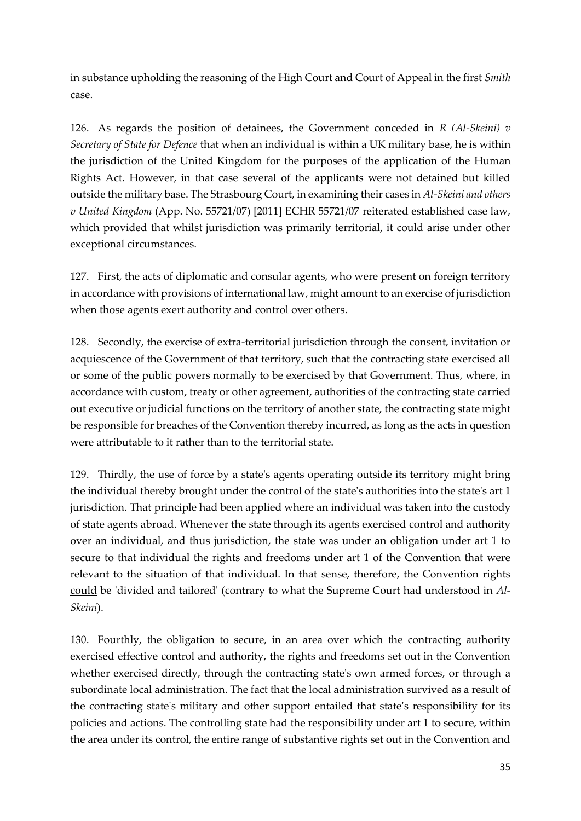in substance upholding the reasoning of the High Court and Court of Appeal in the first *Smith* case.

126. As regards the position of detainees, the Government conceded in *R (Al-Skeini) v Secretary of State for Defence* that when an individual is within a UK military base, he is within the jurisdiction of the United Kingdom for the purposes of the application of the Human Rights Act. However, in that case several of the applicants were not detained but killed outside the military base. The Strasbourg Court, in examining their cases in *Al-Skeini and others v United Kingdom* (App. No. 55721/07) [2011] ECHR 55721/07 reiterated established case law, which provided that whilst jurisdiction was primarily territorial, it could arise under other exceptional circumstances.

127. First, the acts of diplomatic and consular agents, who were present on foreign territory in accordance with provisions of international law, might amount to an exercise of jurisdiction when those agents exert authority and control over others.

128. Secondly, the exercise of extra-territorial jurisdiction through the consent, invitation or acquiescence of the Government of that territory, such that the contracting state exercised all or some of the public powers normally to be exercised by that Government. Thus, where, in accordance with custom, treaty or other agreement, authorities of the contracting state carried out executive or judicial functions on the territory of another state, the contracting state might be responsible for breaches of the Convention thereby incurred, as long as the acts in question were attributable to it rather than to the territorial state.

129. Thirdly, the use of force by a state's agents operating outside its territory might bring the individual thereby brought under the control of the state's authorities into the state's art 1 jurisdiction. That principle had been applied where an individual was taken into the custody of state agents abroad. Whenever the state through its agents exercised control and authority over an individual, and thus jurisdiction, the state was under an obligation under art 1 to secure to that individual the rights and freedoms under art 1 of the Convention that were relevant to the situation of that individual. In that sense, therefore, the Convention rights could be 'divided and tailored' (contrary to what the Supreme Court had understood in *Al-Skeini*).

130. Fourthly, the obligation to secure, in an area over which the contracting authority exercised effective control and authority, the rights and freedoms set out in the Convention whether exercised directly, through the contracting state's own armed forces, or through a subordinate local administration. The fact that the local administration survived as a result of the contracting state's military and other support entailed that state's responsibility for its policies and actions. The controlling state had the responsibility under art 1 to secure, within the area under its control, the entire range of substantive rights set out in the Convention and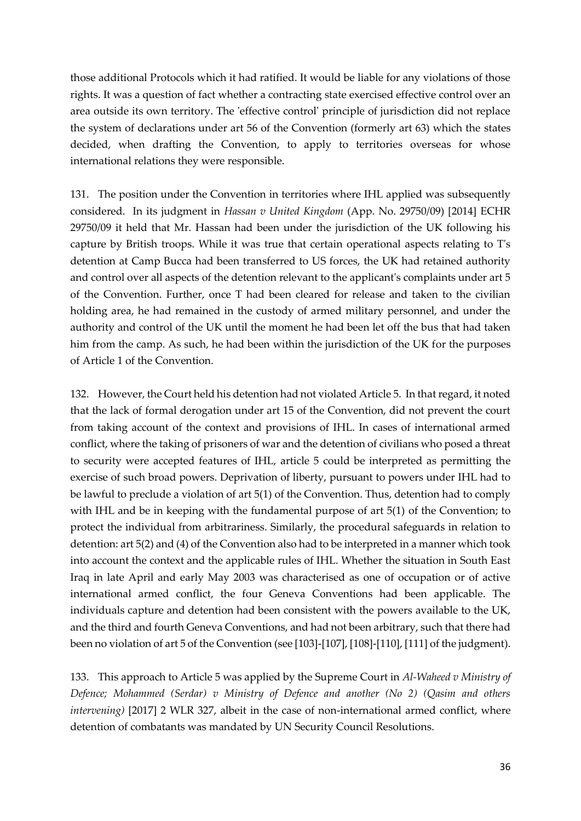those additional Protocols which it had ratified. It would be liable for any violations of those rights. It was a question of fact whether a contracting state exercised effective control over an area outside its own territory. The 'effective control' principle of jurisdiction did not replace the system of declarations under art 56 of the Convention (formerly art 63) which the states decided, when drafting the Convention, to apply to territories overseas for whose international relations they were responsible.

131. The position under the Convention in territories where IHL applied was subsequently considered. In its judgment in *Hassan v United Kingdom* (App. No. 29750/09) [2014] ECHR 29750/09 it held that Mr. Hassan had been under the jurisdiction of the UK following his capture by British troops. While it was true that certain operational aspects relating to T's detention at Camp Bucca had been transferred to US forces, the UK had retained authority and control over all aspects of the detention relevant to the applicant's complaints under art 5 of the Convention. Further, once T had been cleared for release and taken to the civilian holding area, he had remained in the custody of armed military personnel, and under the authority and control of the UK until the moment he had been let off the bus that had taken him from the camp. As such, he had been within the jurisdiction of the UK for the purposes of Article 1 of the Convention.

132. However, the Court held his detention had not violated Article 5. In that regard, it noted that the lack of formal derogation under art 15 of the Convention, did not prevent the court from taking account of the context and provisions of IHL. In cases of international armed conflict, where the taking of prisoners of war and the detention of civilians who posed a threat to security were accepted features of IHL, article 5 could be interpreted as permitting the exercise of such broad powers. Deprivation of liberty, pursuant to powers under IHL had to be lawful to preclude a violation of art 5(1) of the Convention. Thus, detention had to comply with IHL and be in keeping with the fundamental purpose of art 5(1) of the Convention; to protect the individual from arbitrariness. Similarly, the procedural safeguards in relation to detention: art 5(2) and (4) of the Convention also had to be interpreted in a manner which took into account the context and the applicable rules of IHL. Whether the situation in South East Iraq in late April and early May 2003 was characterised as one of occupation or of active international armed conflict, the four Geneva Conventions had been applicable. The individuals capture and detention had been consistent with the powers available to the UK, and the third and fourth Geneva Conventions, and had not been arbitrary, such that there had been no violation of art 5 of the Convention (see [103]-[107], [108]-[110], [111] of the judgment).

133. This approach to Article 5 was applied by the Supreme Court in *Al-Waheed v Ministry of Defence; Mohammed (Serdar) v Ministry of Defence and another (No 2) (Qasim and others intervening)* [2017] 2 WLR 327, albeit in the case of non-international armed conflict, where detention of combatants was mandated by UN Security Council Resolutions.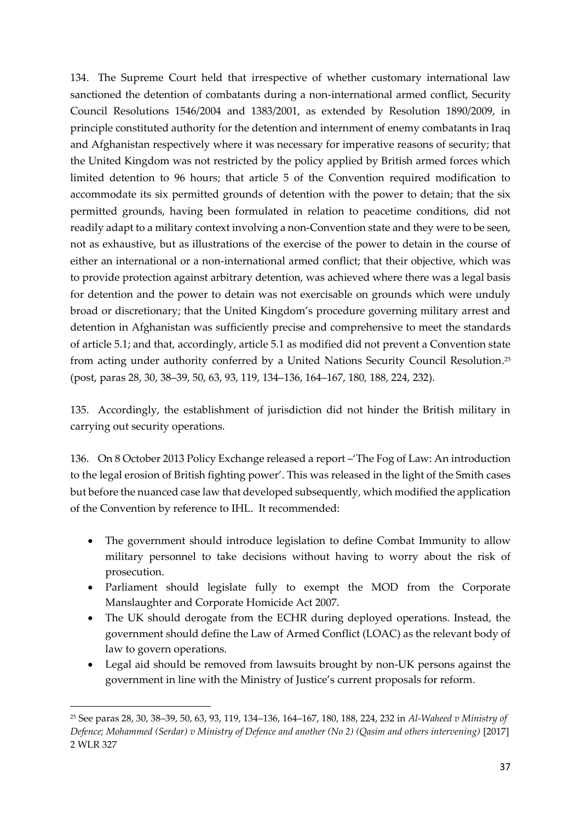134. The Supreme Court held that irrespective of whether customary international law sanctioned the detention of combatants during a non-international armed conflict, Security Council Resolutions 1546/2004 and 1383/2001, as extended by Resolution 1890/2009, in principle constituted authority for the detention and internment of enemy combatants in Iraq and Afghanistan respectively where it was necessary for imperative reasons of security; that the United Kingdom was not restricted by the policy applied by British armed forces which limited detention to 96 hours; that article 5 of the Convention required modification to accommodate its six permitted grounds of detention with the power to detain; that the six permitted grounds, having been formulated in relation to peacetime conditions, did not readily adapt to a military context involving a non-Convention state and they were to be seen, not as exhaustive, but as illustrations of the exercise of the power to detain in the course of either an international or a non-international armed conflict; that their objective, which was to provide protection against arbitrary detention, was achieved where there was a legal basis for detention and the power to detain was not exercisable on grounds which were unduly broad or discretionary; that the United Kingdom's procedure governing military arrest and detention in Afghanistan was sufficiently precise and comprehensive to meet the standards of article 5.1; and that, accordingly, article 5.1 as modified did not prevent a Convention state from acting under authority conferred by a United Nations Security Council Resolution. 25 (post, paras 28, 30, 38–39, 50, 63, 93, 119, 134–136, 164–167, 180, 188, 224, 232).

135. Accordingly, the establishment of jurisdiction did not hinder the British military in carrying out security operations.

136. On 8 October 2013 Policy Exchange released a report –'The Fog of Law: An introduction to the legal erosion of British fighting power'. This was released in the light of the Smith cases but before the nuanced case law that developed subsequently, which modified the application of the Convention by reference to IHL. It recommended:

- The government should introduce legislation to define Combat Immunity to allow military personnel to take decisions without having to worry about the risk of prosecution.
- Parliament should legislate fully to exempt the MOD from the Corporate Manslaughter and Corporate Homicide Act 2007.
- The UK should derogate from the ECHR during deployed operations. Instead, the government should define the Law of Armed Conflict (LOAC) as the relevant body of law to govern operations.
- Legal aid should be removed from lawsuits brought by non-UK persons against the government in line with the Ministry of Justice's current proposals for reform.

<sup>25</sup> See paras 28, 30, 38–39, 50, 63, 93, 119, 134–136, 164–167, 180, 188, 224, 232 in *Al-Waheed v Ministry of Defence; Mohammed (Serdar) v Ministry of Defence and another (No 2) (Qasim and others intervening)* [2017] 2 WLR 327